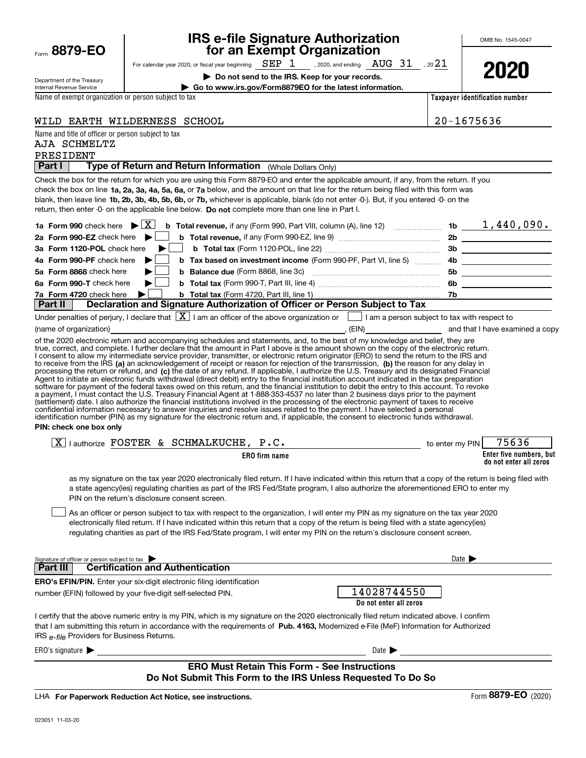| Form | 8879-EO |
|------|---------|
|      |         |

# IRS e-file Signature Authorization<br>for an Exempt Organization

OMB No. 1545-0047

| Department of the Treasury |
|----------------------------|
| Internal Revenue Service   |

For calendar year 2020, or fiscal year beginning , 2020, and ending , 20 SEP 1 AUG 31 21

▶ Do not send to the IRS. Keep for your records.

| Go to www.irs.gov/Form8879EO for the latest information.

2020

Name of exempt organization or person subject to tax

Taxpayer identification number

WILD EARTH WILDERNESS SCHOOL 20-1675636

Name and title of officer or person subject to tax

#### PRESIDENT AJA SCHMELTZ

Part I | Type of Return and Return Information (Whole Dollars Only)

check the box on line **1a, 2a, 3a, 4a, 5a, 6a,** or **7a** below, and the amount on that line for the return being filed with this form was blank, then leave line 1b, 2b, 3b, 4b, 5b, 6b, or 7b, whichever is applicable, blank (do not enter -0-). But, if you entered -0- on the return, then enter -0- on the applicable line below. Do not complete more than one line in Part I. Check the box for the return for which you are using this Form 8879-EO and enter the applicable amount, if any, from the return. If you

|  |                                                                                                        | 1b  | $1,440,090$ . |
|--|--------------------------------------------------------------------------------------------------------|-----|---------------|
|  |                                                                                                        | 2b  |               |
|  |                                                                                                        |     |               |
|  | 4b Form 990-PF check here <b>b</b> b Tax based on investment income (Form 990-PF, Part VI, line 5)  4b |     |               |
|  |                                                                                                        | 5b  |               |
|  |                                                                                                        | -6b |               |
|  |                                                                                                        |     |               |
|  | Deut II Declaration and Cinnature Authorization of Officer or Derson Cubicat to Toy                    |     |               |

Declaration and Signature Authorization of Officer or Person Subject to Tax  $\overline{|\mathbf{v}|}$ .

|                        | Under penalties of perjury, I declare that $\lfloor X \rfloor$ I am an officer of the above organization or $\lfloor x \rfloor$ |       | I am a person subject to tax with respect to |
|------------------------|---------------------------------------------------------------------------------------------------------------------------------|-------|----------------------------------------------|
| (name of organization) |                                                                                                                                 | (EIN) | and that I have examined a copy              |

to receive from the IRS (a) an acknowledgement of receipt or reason for rejection of the transmission, (b) the reason for any delay in processing the return or refund, and (c) the date of any refund. If applicable, I authorize the U.S. Treasury and its designated Financial of the 2020 electronic return and accompanying schedules and statements, and, to the best of my knowledge and belief, they are true, correct, and complete. I further declare that the amount in Part I above is the amount shown on the copy of the electronic return. I consent to allow my intermediate service provider, transmitter, or electronic return originator (ERO) to send the return to the IRS and Agent to initiate an electronic funds withdrawal (direct debit) entry to the financial institution account indicated in the tax preparation software for payment of the federal taxes owed on this return, and the financial institution to debit the entry to this account. To revoke a payment, I must contact the U.S. Treasury Financial Agent at 1-888-353-4537 no later than 2 business days prior to the payment (settlement) date. I also authorize the financial institutions involved in the processing of the electronic payment of taxes to receive<br>confidential information necessary to answer inquiries and resolve issues related to t identification number (PIN) as my signature for the electronic return and, if applicable, the consent to electronic funds withdrawal.

PIN: check one box only

| $\overline{\mathbf{v}}$<br>ΈR<br>П. С<br>`HMAI.K<br>A<br>horize<br>∼<br>- | ╌<br><b>LA</b> 1           | ∠PIN<br>to enter my | חר                                                |
|---------------------------------------------------------------------------|----------------------------|---------------------|---------------------------------------------------|
|                                                                           | con<br>` firm name<br>EINU |                     | Enter five numbers, but<br>do not enter all zeros |

as my signature on the tax year 2020 electronically filed return. If I have indicated within this return that a copy of the return is being filed with a state agency(ies) regulating charities as part of the IRS Fed/State program, I also authorize the aforementioned ERO to enter my PIN on the return's disclosure consent screen.

As an officer or person subject to tax with respect to the organization, I will enter my PIN as my signature on the tax year 2020 electronically filed return. If I have indicated within this return that a copy of the return is being filed with a state agency(ies) regulating charities as part of the IRS Fed/State program, I will enter my PIN on the return's disclosure consent screen.  $\begin{array}{c} \hline \end{array}$ 

| Signature of officer or person subject to tax                                                                                                                                                                                                                                                                                     | Date 1                 |  |  |  |  |  |
|-----------------------------------------------------------------------------------------------------------------------------------------------------------------------------------------------------------------------------------------------------------------------------------------------------------------------------------|------------------------|--|--|--|--|--|
| <b>Certification and Authentication</b><br>Part III                                                                                                                                                                                                                                                                               |                        |  |  |  |  |  |
| <b>ERO's EFIN/PIN.</b> Enter your six-digit electronic filing identification                                                                                                                                                                                                                                                      |                        |  |  |  |  |  |
| number (EFIN) followed by your five-digit self-selected PIN.                                                                                                                                                                                                                                                                      | 14028744550            |  |  |  |  |  |
|                                                                                                                                                                                                                                                                                                                                   | Do not enter all zeros |  |  |  |  |  |
| I certify that the above numeric entry is my PIN, which is my signature on the 2020 electronically filed return indicated above. I confirm<br>that I am submitting this return in accordance with the requirements of Pub. 4163. Modernized e-File (MeF) Information for Authorized<br>IRS e-file Providers for Business Returns. |                        |  |  |  |  |  |
| ERO's signature $\blacktriangleright$                                                                                                                                                                                                                                                                                             | Date $\blacksquare$    |  |  |  |  |  |

### ERO Must Retain This Form - See Instructions Do Not Submit This Form to the IRS Unless Requested To Do So

LHA For Paperwork Reduction Act Notice, see instructions.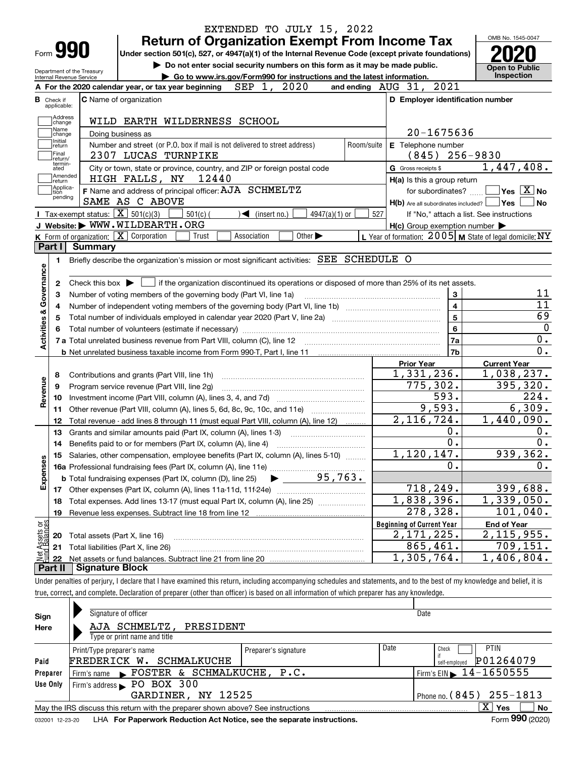|                                |                                  |                                                            |                                                                    | EXTENDED TO JULY 15, 2022                                                                                                                                                  |                             |                |                                                     |                                  |                                                           |
|--------------------------------|----------------------------------|------------------------------------------------------------|--------------------------------------------------------------------|----------------------------------------------------------------------------------------------------------------------------------------------------------------------------|-----------------------------|----------------|-----------------------------------------------------|----------------------------------|-----------------------------------------------------------|
|                                |                                  |                                                            |                                                                    | <b>Return of Organization Exempt From Income Tax</b>                                                                                                                       |                             |                |                                                     |                                  | OMB No. 1545-0047                                         |
|                                | Form 990                         |                                                            |                                                                    | Under section 501(c), 527, or 4947(a)(1) of the Internal Revenue Code (except private foundations)                                                                         |                             |                |                                                     |                                  |                                                           |
|                                |                                  |                                                            |                                                                    | Do not enter social security numbers on this form as it may be made public.                                                                                                |                             |                |                                                     |                                  | <b>Open to Public</b>                                     |
|                                |                                  | Department of the Treasury<br>Internal Revenue Service     |                                                                    | Go to www.irs.gov/Form990 for instructions and the latest information.                                                                                                     |                             |                |                                                     |                                  | <b>Inspection</b>                                         |
|                                |                                  |                                                            | A For the 2020 calendar year, or tax year beginning                | SEP 1, 2020                                                                                                                                                                |                             |                | and ending $AUG$ 31, $2021$                         |                                  |                                                           |
|                                | <b>B</b> Check if<br>applicable: |                                                            | <b>C</b> Name of organization                                      |                                                                                                                                                                            |                             |                |                                                     | D Employer identification number |                                                           |
|                                | Address<br>change                |                                                            |                                                                    | WILD EARTH WILDERNESS SCHOOL                                                                                                                                               |                             |                |                                                     |                                  |                                                           |
|                                | Name<br>change                   |                                                            | Doing business as                                                  |                                                                                                                                                                            |                             |                |                                                     | 20-1675636                       |                                                           |
|                                | Initial<br> return               |                                                            |                                                                    | Number and street (or P.O. box if mail is not delivered to street address)                                                                                                 |                             | Room/suite     | E Telephone number                                  |                                  |                                                           |
|                                | Final<br>Ireturn/                |                                                            | 2307 LUCAS TURNPIKE                                                |                                                                                                                                                                            |                             |                | (845)                                               | $256 - 9830$                     |                                                           |
|                                | termin-<br>ated<br> Amended      |                                                            |                                                                    | City or town, state or province, country, and ZIP or foreign postal code<br>12440                                                                                          |                             |                | G Gross receipts \$                                 |                                  | 1,447,408.                                                |
|                                | return<br>Applica-               |                                                            | HIGH FALLS, NY                                                     | F Name and address of principal officer: AJA SCHMELTZ                                                                                                                      |                             |                |                                                     | H(a) Is this a group return      | $\sqrt{}$ Yes $\sqrt{}$ X $\sqrt{}$ No                    |
|                                | tion<br>pending                  |                                                            | SAME AS C ABOVE                                                    |                                                                                                                                                                            |                             |                |                                                     | for subordinates?                | $H(b)$ Are all subordinates included? $\Box$ Yes<br>l No  |
|                                |                                  |                                                            | Tax-exempt status: $\boxed{\mathbf{X}}$ 501(c)(3)                  | $501(c)$ (<br>$\sqrt{\frac{1}{1}}$ (insert no.)                                                                                                                            | $4947(a)(1)$ or             | 527            |                                                     |                                  | If "No," attach a list. See instructions                  |
|                                |                                  |                                                            | J Website: WWW.WILDEARTH.ORG                                       |                                                                                                                                                                            |                             |                | $H(c)$ Group exemption number $\blacktriangleright$ |                                  |                                                           |
|                                |                                  |                                                            | K Form of organization:   X Corporation                            | Trust<br>Association                                                                                                                                                       | Other $\blacktriangleright$ |                |                                                     |                                  | L Year of formation: $2005$ M State of legal domicile: NY |
|                                | Part I                           | Summary                                                    |                                                                    |                                                                                                                                                                            |                             |                |                                                     |                                  |                                                           |
|                                | 1                                |                                                            |                                                                    | Briefly describe the organization's mission or most significant activities: SEE SCHEDULE O                                                                                 |                             |                |                                                     |                                  |                                                           |
|                                |                                  |                                                            |                                                                    |                                                                                                                                                                            |                             |                |                                                     |                                  |                                                           |
| Governance                     |                                  |                                                            |                                                                    |                                                                                                                                                                            |                             |                |                                                     |                                  |                                                           |
|                                | 2                                | Check this box $\blacktriangleright$ $\blacktriangleright$ |                                                                    | If the organization discontinued its operations or disposed of more than 25% of its net assets.                                                                            |                             |                |                                                     |                                  | 11                                                        |
|                                | 3                                |                                                            |                                                                    | Number of voting members of the governing body (Part VI, line 1a)                                                                                                          |                             |                |                                                     | 3                                | 11                                                        |
|                                | 4                                |                                                            |                                                                    |                                                                                                                                                                            |                             |                |                                                     | $\overline{\mathbf{4}}$          | 69                                                        |
| <b>Activities &amp;</b>        |                                  | 5                                                          |                                                                    |                                                                                                                                                                            | 5                           | $\overline{0}$ |                                                     |                                  |                                                           |
|                                | 6                                |                                                            |                                                                    |                                                                                                                                                                            |                             |                |                                                     | 6                                |                                                           |
|                                |                                  |                                                            |                                                                    |                                                                                                                                                                            |                             |                |                                                     | 7a                               | 0.                                                        |
|                                |                                  |                                                            |                                                                    |                                                                                                                                                                            |                             |                |                                                     | 7b                               | 0.                                                        |
|                                |                                  |                                                            |                                                                    |                                                                                                                                                                            |                             |                | <b>Prior Year</b>                                   |                                  | <b>Current Year</b>                                       |
|                                | 8                                |                                                            | Contributions and grants (Part VIII, line 1h)                      |                                                                                                                                                                            |                             |                | 1,331,236.                                          |                                  | 1,038,237.                                                |
|                                | 9                                |                                                            | Program service revenue (Part VIII, line 2g)                       |                                                                                                                                                                            |                             |                |                                                     | 775,302.                         | 395, 320.                                                 |
| Revenue                        | 10                               |                                                            |                                                                    |                                                                                                                                                                            |                             |                |                                                     | 593.                             | 224.                                                      |
|                                | 11                               |                                                            |                                                                    | Other revenue (Part VIII, column (A), lines 5, 6d, 8c, 9c, 10c, and 11e)                                                                                                   |                             |                |                                                     | 9,593.                           | 6,309.                                                    |
|                                | 12                               |                                                            |                                                                    | Total revenue - add lines 8 through 11 (must equal Part VIII, column (A), line 12)                                                                                         |                             |                | 2,116,724.                                          |                                  | 1,440,090.                                                |
|                                | 13                               |                                                            |                                                                    | Grants and similar amounts paid (Part IX, column (A), lines 1-3)                                                                                                           |                             |                |                                                     | 0.                               | 0.                                                        |
|                                | 14                               |                                                            |                                                                    |                                                                                                                                                                            |                             |                |                                                     | $\overline{0}$ .                 | $\overline{0}$ .                                          |
|                                |                                  |                                                            |                                                                    | Salaries, other compensation, employee benefits (Part IX, column (A), lines 5-10)                                                                                          |                             |                | 1,120,147.                                          |                                  | 939,362.                                                  |
| Expenses                       |                                  |                                                            |                                                                    |                                                                                                                                                                            |                             |                |                                                     | 0.                               | 0.                                                        |
|                                |                                  |                                                            | <b>b</b> Total fundraising expenses (Part IX, column (D), line 25) |                                                                                                                                                                            | 95,763.                     |                |                                                     |                                  |                                                           |
|                                |                                  |                                                            |                                                                    |                                                                                                                                                                            |                             |                |                                                     | 718,249.                         | 399,688.                                                  |
|                                | 18                               |                                                            |                                                                    | Total expenses. Add lines 13-17 (must equal Part IX, column (A), line 25)                                                                                                  |                             |                | $\overline{1,838},396.$                             |                                  | 1,339,050.                                                |
|                                | 19                               |                                                            |                                                                    |                                                                                                                                                                            |                             |                |                                                     | 278,328.                         | 101,040.                                                  |
| Net Assets or<br>Fund Balances |                                  |                                                            |                                                                    |                                                                                                                                                                            |                             |                | <b>Beginning of Current Year</b>                    |                                  | <b>End of Year</b>                                        |
|                                | 20                               |                                                            | Total assets (Part X, line 16)                                     |                                                                                                                                                                            |                             |                | $\overline{2,171},225$ .                            |                                  | 2, 115, 955.                                              |
|                                | 21                               |                                                            | Total liabilities (Part X, line 26)                                |                                                                                                                                                                            |                             |                |                                                     | 865,461.                         | 709, 151.                                                 |
|                                | 22                               |                                                            |                                                                    |                                                                                                                                                                            |                             |                | 1,305,764.                                          |                                  | 1,406,804.                                                |
|                                | Part II                          | <b>Signature Block</b>                                     |                                                                    |                                                                                                                                                                            |                             |                |                                                     |                                  |                                                           |
|                                |                                  |                                                            |                                                                    | Under penalties of perjury, I declare that I have examined this return, including accompanying schedules and statements, and to the best of my knowledge and belief, it is |                             |                |                                                     |                                  |                                                           |
|                                |                                  |                                                            |                                                                    | true, correct, and complete. Declaration of preparer (other than officer) is based on all information of which preparer has any knowledge.                                 |                             |                |                                                     |                                  |                                                           |
|                                |                                  |                                                            |                                                                    |                                                                                                                                                                            |                             |                |                                                     |                                  |                                                           |
| Sign                           |                                  |                                                            | Signature of officer                                               |                                                                                                                                                                            |                             |                | Date                                                |                                  |                                                           |
| Here                           |                                  |                                                            | AJA SCHMELTZ,                                                      | PRESIDENT                                                                                                                                                                  |                             |                |                                                     |                                  |                                                           |
|                                |                                  |                                                            | Type or print name and title                                       |                                                                                                                                                                            |                             |                |                                                     |                                  |                                                           |
|                                |                                  | Print/Tyne prenarer's name                                 |                                                                    | Prenarer's sinnature                                                                                                                                                       |                             |                | Date                                                | Check                            | PTIN                                                      |

|          | Print/Type preparer's name                                                                        | Preparer's signature | Date | Check                                                    | <b>PTIN</b> |  |  |  |
|----------|---------------------------------------------------------------------------------------------------|----------------------|------|----------------------------------------------------------|-------------|--|--|--|
| Paid     | FREDERICK W. SCHMALKUCHE                                                                          |                      |      | self-emploved                                            | P01264079   |  |  |  |
| Preparer | $\blacktriangleright$ FOSTER & SCHMALKUCHE, P.C.<br>Firm's name                                   |                      |      | $!\mathsf{Firm}$ 's EIN $\blacktriangleright$ 14-1650555 |             |  |  |  |
| Use Only | Firm's address PO BOX 300                                                                         |                      |      |                                                          |             |  |  |  |
|          | GARDINER, NY 12525                                                                                |                      |      | Phone no. (845) 255-1813                                 |             |  |  |  |
|          | х<br>Yes<br>No<br>May the IRS discuss this return with the preparer shown above? See instructions |                      |      |                                                          |             |  |  |  |
|          |                                                                                                   |                      |      |                                                          | $- - -$     |  |  |  |

032001 12-23-20 LHA For Paperwork Reduction Act Notice, see the separate instructions. Form 990 (2020)

990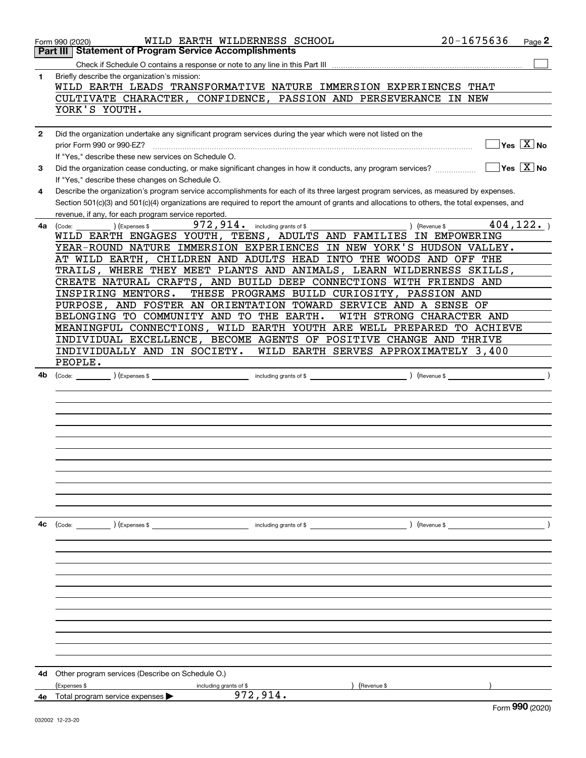|              | $20 - 1675636$<br>WILD EARTH WILDERNESS SCHOOL<br>Page 2<br>Form 990 (2020)                                                                            |  |
|--------------|--------------------------------------------------------------------------------------------------------------------------------------------------------|--|
|              | Part III<br><b>Statement of Program Service Accomplishments</b>                                                                                        |  |
|              |                                                                                                                                                        |  |
| 1            | Briefly describe the organization's mission:                                                                                                           |  |
|              | WILD EARTH LEADS TRANSFORMATIVE NATURE IMMERSION EXPERIENCES THAT                                                                                      |  |
|              | CULTIVATE CHARACTER, CONFIDENCE, PASSION AND PERSEVERANCE IN NEW                                                                                       |  |
|              | YORK'S YOUTH.                                                                                                                                          |  |
|              |                                                                                                                                                        |  |
| $\mathbf{2}$ | Did the organization undertake any significant program services during the year which were not listed on the                                           |  |
|              | $\overline{\ }$ Yes $\overline{\ \ X}$ No<br>prior Form 990 or 990-EZ?                                                                                 |  |
|              | If "Yes," describe these new services on Schedule O.                                                                                                   |  |
| 3            | $\sqrt{}$ Yes $\sqrt{}$ X $\sqrt{}$ No<br>Did the organization cease conducting, or make significant changes in how it conducts, any program services? |  |
|              | If "Yes," describe these changes on Schedule O.                                                                                                        |  |
| 4            | Describe the organization's program service accomplishments for each of its three largest program services, as measured by expenses.                   |  |
|              | Section 501(c)(3) and 501(c)(4) organizations are required to report the amount of grants and allocations to others, the total expenses, and           |  |
|              | revenue, if any, for each program service reported.                                                                                                    |  |
| 4a l         | 404, 122.<br>) (Revenue \$<br>(Expenses \$<br>(Code:                                                                                                   |  |
|              | WILD EARTH ENGAGES YOUTH, TEENS, ADULTS AND FAMILIES IN EMPOWERING                                                                                     |  |
|              | YEAR-ROUND NATURE IMMERSION EXPERIENCES IN NEW YORK'S HUDSON VALLEY.                                                                                   |  |
|              | AT WILD EARTH, CHILDREN AND ADULTS HEAD INTO THE WOODS AND OFF THE<br>TRAILS, WHERE THEY MEET PLANTS AND ANIMALS, LEARN WILDERNESS SKILLS,             |  |
|              | CREATE NATURAL CRAFTS, AND BUILD DEEP CONNECTIONS WITH FRIENDS AND                                                                                     |  |
|              | THESE PROGRAMS BUILD CURIOSITY, PASSION AND<br>INSPIRING MENTORS.                                                                                      |  |
|              | PURPOSE, AND FOSTER AN ORIENTATION TOWARD SERVICE AND A SENSE OF                                                                                       |  |
|              | BELONGING TO COMMUNITY AND TO THE EARTH.<br>WITH STRONG CHARACTER AND                                                                                  |  |
|              | MEANINGFUL CONNECTIONS, WILD EARTH YOUTH ARE WELL PREPARED TO ACHIEVE                                                                                  |  |
|              | INDIVIDUAL EXCELLENCE, BECOME AGENTS OF POSITIVE CHANGE AND THRIVE                                                                                     |  |
|              | INDIVIDUALLY AND IN SOCIETY.<br>WILD EARTH SERVES APPROXIMATELY 3,400                                                                                  |  |
|              | PEOPLE.                                                                                                                                                |  |
| 4b           | $\left($ Revenue \$ $\right)$                                                                                                                          |  |
|              |                                                                                                                                                        |  |
|              |                                                                                                                                                        |  |
|              |                                                                                                                                                        |  |
|              |                                                                                                                                                        |  |
|              |                                                                                                                                                        |  |
|              |                                                                                                                                                        |  |
|              |                                                                                                                                                        |  |
|              |                                                                                                                                                        |  |
|              |                                                                                                                                                        |  |
|              |                                                                                                                                                        |  |
|              |                                                                                                                                                        |  |
|              |                                                                                                                                                        |  |
| 4с           | (Code: ) (Expenses \$<br>including grants of $$$<br>$($ Revenue \$                                                                                     |  |
|              |                                                                                                                                                        |  |
|              |                                                                                                                                                        |  |
|              |                                                                                                                                                        |  |
|              |                                                                                                                                                        |  |
|              |                                                                                                                                                        |  |
|              |                                                                                                                                                        |  |
|              |                                                                                                                                                        |  |
|              |                                                                                                                                                        |  |
|              |                                                                                                                                                        |  |
|              |                                                                                                                                                        |  |
|              |                                                                                                                                                        |  |
|              |                                                                                                                                                        |  |
| 4d           | Other program services (Describe on Schedule O.)                                                                                                       |  |
|              | (Expenses \$<br>(Revenue \$<br>including grants of \$                                                                                                  |  |
|              | 972,914.<br><b>4e</b> Total program service expenses $\blacktriangleright$                                                                             |  |
|              | nnn.                                                                                                                                                   |  |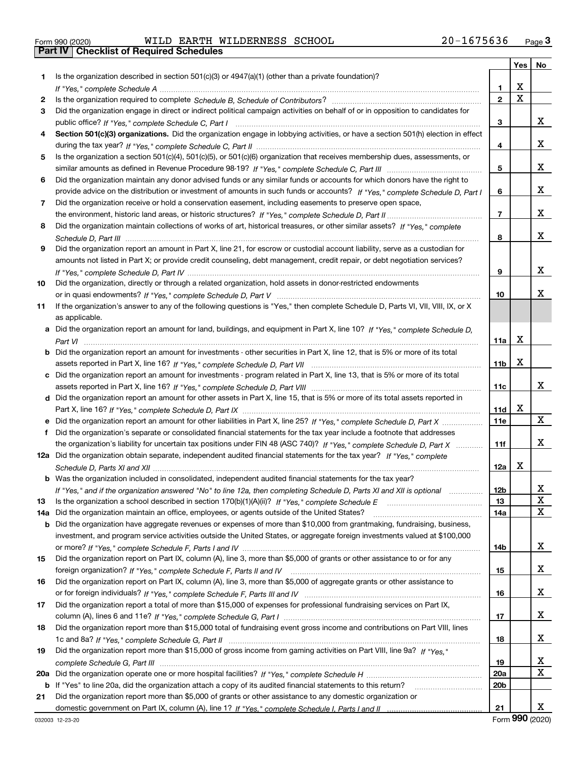|  | Form 990 (2020) |
|--|-----------------|

Part IV | Checklist of Required Schedules

Form 990 (2020) WILDERATHE WILDERNESS SCHOOL 2U-I6 / 5 6 3 6 Page WILD EARTH WILDERNESS SCHOOL 20-1675636

|     |                                                                                                                                       |                 | Yes $ $     | No                      |
|-----|---------------------------------------------------------------------------------------------------------------------------------------|-----------------|-------------|-------------------------|
| 1   | Is the organization described in section $501(c)(3)$ or $4947(a)(1)$ (other than a private foundation)?                               |                 |             |                         |
|     |                                                                                                                                       | 1               | х           |                         |
| 2   |                                                                                                                                       | $\overline{2}$  | $\mathbf X$ |                         |
| 3   | Did the organization engage in direct or indirect political campaign activities on behalf of or in opposition to candidates for       |                 |             |                         |
|     |                                                                                                                                       | 3               |             | x                       |
| 4   | Section 501(c)(3) organizations. Did the organization engage in lobbying activities, or have a section 501(h) election in effect      |                 |             |                         |
|     |                                                                                                                                       | 4               |             | x                       |
| 5   | Is the organization a section 501(c)(4), 501(c)(5), or 501(c)(6) organization that receives membership dues, assessments, or          |                 |             |                         |
|     |                                                                                                                                       | 5               |             | x                       |
| 6   | Did the organization maintain any donor advised funds or any similar funds or accounts for which donors have the right to             |                 |             |                         |
|     | provide advice on the distribution or investment of amounts in such funds or accounts? If "Yes," complete Schedule D, Part I          | 6               |             | x                       |
| 7   | Did the organization receive or hold a conservation easement, including easements to preserve open space,                             |                 |             |                         |
|     |                                                                                                                                       | $\overline{7}$  |             | x                       |
| 8   | Did the organization maintain collections of works of art, historical treasures, or other similar assets? If "Yes," complete          |                 |             |                         |
|     |                                                                                                                                       | 8               |             | x                       |
| 9   | Did the organization report an amount in Part X, line 21, for escrow or custodial account liability, serve as a custodian for         |                 |             |                         |
|     | amounts not listed in Part X; or provide credit counseling, debt management, credit repair, or debt negotiation services?             |                 |             |                         |
|     |                                                                                                                                       | 9               |             | x                       |
| 10  | Did the organization, directly or through a related organization, hold assets in donor-restricted endowments                          |                 |             |                         |
|     |                                                                                                                                       | 10              |             | x                       |
| 11  | If the organization's answer to any of the following questions is "Yes," then complete Schedule D, Parts VI, VII, VIII, IX, or X      |                 |             |                         |
|     | as applicable.                                                                                                                        |                 |             |                         |
|     | a Did the organization report an amount for land, buildings, and equipment in Part X, line 10? If "Yes." complete Schedule D.         |                 |             |                         |
|     |                                                                                                                                       | 11a             | х           |                         |
|     | <b>b</b> Did the organization report an amount for investments - other securities in Part X, line 12, that is 5% or more of its total |                 |             |                         |
|     |                                                                                                                                       | 11 <sub>b</sub> | х           |                         |
|     | c Did the organization report an amount for investments - program related in Part X, line 13, that is 5% or more of its total         |                 |             |                         |
|     |                                                                                                                                       | 11c             |             | X.                      |
|     | d Did the organization report an amount for other assets in Part X, line 15, that is 5% or more of its total assets reported in       |                 |             |                         |
|     |                                                                                                                                       | 11d             | X           |                         |
|     |                                                                                                                                       | <b>11e</b>      |             | X                       |
| f   | Did the organization's separate or consolidated financial statements for the tax year include a footnote that addresses               |                 |             |                         |
|     | the organization's liability for uncertain tax positions under FIN 48 (ASC 740)? If "Yes," complete Schedule D, Part X                | 11f             |             | x                       |
|     | 12a Did the organization obtain separate, independent audited financial statements for the tax year? If "Yes," complete               |                 |             |                         |
|     |                                                                                                                                       | 12a             | X           |                         |
|     | <b>b</b> Was the organization included in consolidated, independent audited financial statements for the tax year?                    |                 |             |                         |
|     | If "Yes," and if the organization answered "No" to line 12a, then completing Schedule D, Parts XI and XII is optional                 | 12 <sub>b</sub> |             | $\overline{\mathbf{x}}$ |
| 13  | Is the organization a school described in section 170(b)(1)(A)(ii)? If "Yes," complete Schedule E                                     | 13              |             | x                       |
| 14a | Did the organization maintain an office, employees, or agents outside of the United States?                                           | 14a             |             | X                       |
| b   | Did the organization have aggregate revenues or expenses of more than \$10,000 from grantmaking, fundraising, business,               |                 |             |                         |
|     | investment, and program service activities outside the United States, or aggregate foreign investments valued at \$100,000            |                 |             |                         |
|     |                                                                                                                                       | 14b             |             | X                       |
| 15  | Did the organization report on Part IX, column (A), line 3, more than \$5,000 of grants or other assistance to or for any             |                 |             |                         |
|     |                                                                                                                                       | 15              |             | X                       |
| 16  | Did the organization report on Part IX, column (A), line 3, more than \$5,000 of aggregate grants or other assistance to              |                 |             |                         |
|     |                                                                                                                                       | 16              |             | X                       |
| 17  | Did the organization report a total of more than \$15,000 of expenses for professional fundraising services on Part IX,               |                 |             |                         |
|     |                                                                                                                                       | 17              |             | X                       |
| 18  | Did the organization report more than \$15,000 total of fundraising event gross income and contributions on Part VIII, lines          |                 |             |                         |
|     |                                                                                                                                       | 18              |             | X                       |
| 19  | Did the organization report more than \$15,000 of gross income from gaming activities on Part VIII, line 9a? If "Yes."                |                 |             |                         |
|     |                                                                                                                                       | 19              |             | X,                      |
| 20a |                                                                                                                                       | <b>20a</b>      |             | $\mathbf{X}$            |
|     | b If "Yes" to line 20a, did the organization attach a copy of its audited financial statements to this return?                        | 20 <sub>b</sub> |             |                         |
| 21  | Did the organization report more than \$5,000 of grants or other assistance to any domestic organization or                           |                 |             |                         |
|     |                                                                                                                                       | 21              |             | x                       |

Form 990 (2020)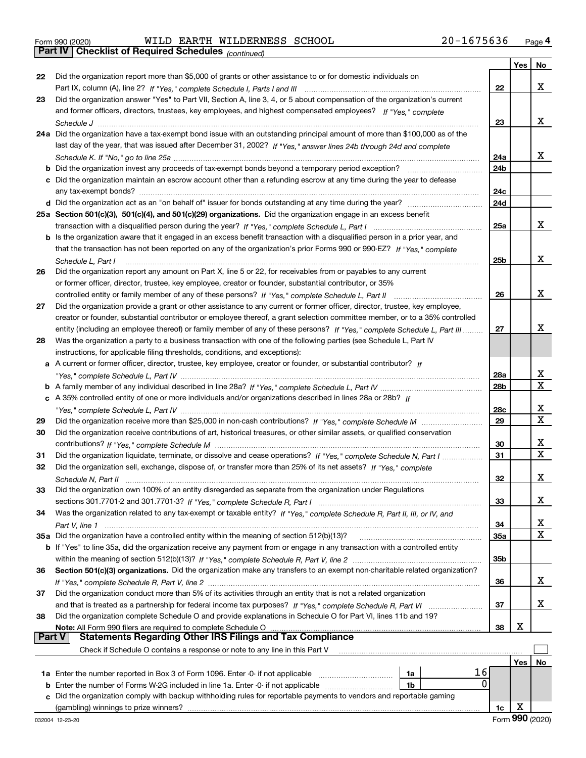Part IV | Checklist of Required Schedules

Form 990 (2020) WILDERATHE WILDERNESS SCHOOL 2U-I6 / 5 6 3 6 Page WILD EARTH WILDERNESS SCHOOL 20-1675636

(continued)

|        |                                                                                                                              |                 | Yes | No                      |
|--------|------------------------------------------------------------------------------------------------------------------------------|-----------------|-----|-------------------------|
| 22     | Did the organization report more than \$5,000 of grants or other assistance to or for domestic individuals on                |                 |     |                         |
|        |                                                                                                                              | 22              |     | x                       |
| 23     | Did the organization answer "Yes" to Part VII, Section A, line 3, 4, or 5 about compensation of the organization's current   |                 |     |                         |
|        | and former officers, directors, trustees, key employees, and highest compensated employees? If "Yes," complete               |                 |     |                         |
|        |                                                                                                                              | 23              |     | x                       |
|        | 24a Did the organization have a tax-exempt bond issue with an outstanding principal amount of more than \$100,000 as of the  |                 |     |                         |
|        | last day of the year, that was issued after December 31, 2002? If "Yes," answer lines 24b through 24d and complete           |                 |     |                         |
|        |                                                                                                                              | 24a             |     | x                       |
|        | <b>b</b> Did the organization invest any proceeds of tax-exempt bonds beyond a temporary period exception?                   | 24 <sub>b</sub> |     |                         |
|        | c Did the organization maintain an escrow account other than a refunding escrow at any time during the year to defease       |                 |     |                         |
|        |                                                                                                                              | 24c             |     |                         |
|        |                                                                                                                              | 24d             |     |                         |
|        | 25a Section 501(c)(3), 501(c)(4), and 501(c)(29) organizations. Did the organization engage in an excess benefit             |                 |     |                         |
|        |                                                                                                                              | 25a             |     | x                       |
|        |                                                                                                                              |                 |     |                         |
|        | b Is the organization aware that it engaged in an excess benefit transaction with a disqualified person in a prior year, and |                 |     |                         |
|        | that the transaction has not been reported on any of the organization's prior Forms 990 or 990-EZ? If "Yes," complete        |                 |     | x                       |
|        | Schedule L. Part I                                                                                                           | 25b             |     |                         |
| 26     | Did the organization report any amount on Part X, line 5 or 22, for receivables from or payables to any current              |                 |     |                         |
|        | or former officer, director, trustee, key employee, creator or founder, substantial contributor, or 35%                      |                 |     |                         |
|        | controlled entity or family member of any of these persons? If "Yes," complete Schedule L, Part II                           | 26              |     | x                       |
| 27     | Did the organization provide a grant or other assistance to any current or former officer, director, trustee, key employee,  |                 |     |                         |
|        | creator or founder, substantial contributor or employee thereof, a grant selection committee member, or to a 35% controlled  |                 |     |                         |
|        | entity (including an employee thereof) or family member of any of these persons? If "Yes," complete Schedule L, Part III     | 27              |     | x                       |
| 28     | Was the organization a party to a business transaction with one of the following parties (see Schedule L, Part IV            |                 |     |                         |
|        | instructions, for applicable filing thresholds, conditions, and exceptions):                                                 |                 |     |                         |
|        | a A current or former officer, director, trustee, key employee, creator or founder, or substantial contributor? If           |                 |     |                         |
|        |                                                                                                                              | 28a             |     | x                       |
|        |                                                                                                                              | 28 <sub>b</sub> |     | X                       |
|        | c A 35% controlled entity of one or more individuals and/or organizations described in lines 28a or 28b? If                  |                 |     |                         |
|        | "Yes," complete Schedule L, Part IV …………………………………………………………………                                                                | 28c             |     | х                       |
| 29     |                                                                                                                              | 29              |     | $\overline{\mathbf{x}}$ |
| 30     | Did the organization receive contributions of art, historical treasures, or other similar assets, or qualified conservation  |                 |     |                         |
|        |                                                                                                                              | 30              |     | x                       |
| 31     | Did the organization liquidate, terminate, or dissolve and cease operations? If "Yes," complete Schedule N, Part I           | 31              |     | $\mathbf X$             |
| 32     | Did the organization sell, exchange, dispose of, or transfer more than 25% of its net assets? If "Yes," complete             |                 |     |                         |
|        |                                                                                                                              | 32              |     | х                       |
| 33     | Did the organization own 100% of an entity disregarded as separate from the organization under Regulations                   |                 |     |                         |
|        |                                                                                                                              | 33              |     | x                       |
| 34     |                                                                                                                              |                 |     |                         |
|        | Was the organization related to any tax-exempt or taxable entity? If "Yes," complete Schedule R, Part II, III, or IV, and    |                 |     | X                       |
|        |                                                                                                                              | 34              |     | X                       |
|        | 35a Did the organization have a controlled entity within the meaning of section 512(b)(13)?                                  | <b>35a</b>      |     |                         |
|        | b If "Yes" to line 35a, did the organization receive any payment from or engage in any transaction with a controlled entity  |                 |     |                         |
|        |                                                                                                                              | 35b             |     |                         |
| 36     | Section 501(c)(3) organizations. Did the organization make any transfers to an exempt non-charitable related organization?   |                 |     |                         |
|        |                                                                                                                              | 36              |     | x                       |
| 37     | Did the organization conduct more than 5% of its activities through an entity that is not a related organization             |                 |     |                         |
|        |                                                                                                                              | 37              |     | x                       |
| 38     | Did the organization complete Schedule O and provide explanations in Schedule O for Part VI, lines 11b and 19?               |                 |     |                         |
|        | Note: All Form 990 filers are required to complete Schedule O                                                                | 38              | х   |                         |
| Part V | <b>Statements Regarding Other IRS Filings and Tax Compliance</b>                                                             |                 |     |                         |
|        | Check if Schedule O contains a response or note to any line in this Part V                                                   |                 |     |                         |
|        |                                                                                                                              |                 | Yes | No                      |
|        | 16<br>1a Enter the number reported in Box 3 of Form 1096. Enter -0- if not applicable<br>1a                                  |                 |     |                         |
| b      | 0<br>Enter the number of Forms W-2G included in line 1a. Enter -0- if not applicable<br>1b                                   |                 |     |                         |
| с      | Did the organization comply with backup withholding rules for reportable payments to vendors and reportable gaming           |                 |     |                         |
|        | (gambling) winnings to prize winners?                                                                                        | 1c              | X   |                         |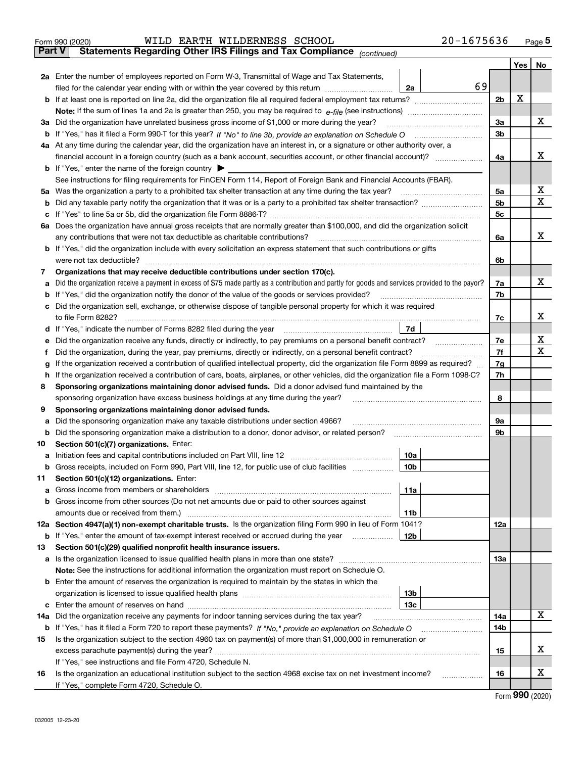| Form 990 (2020) |  | WILD EARTH WILDERNESS SCHOOL                                                                   |  | 20-1675636 | Page |
|-----------------|--|------------------------------------------------------------------------------------------------|--|------------|------|
|                 |  | <b>Part V</b> Statements Regarding Other IRS Filings and Tax Compliance <sub>(continued)</sub> |  |            |      |

|                                                                |                                                                                                                                                                                                                                |                        |    |                | Yes | No     |  |  |
|----------------------------------------------------------------|--------------------------------------------------------------------------------------------------------------------------------------------------------------------------------------------------------------------------------|------------------------|----|----------------|-----|--------|--|--|
|                                                                | 2a Enter the number of employees reported on Form W-3, Transmittal of Wage and Tax Statements,                                                                                                                                 |                        |    |                |     |        |  |  |
|                                                                | filed for the calendar year ending with or within the year covered by this return                                                                                                                                              | 2a                     | 69 |                |     |        |  |  |
|                                                                |                                                                                                                                                                                                                                |                        |    | 2 <sub>b</sub> | X   |        |  |  |
|                                                                |                                                                                                                                                                                                                                |                        |    |                |     |        |  |  |
| За                                                             | Did the organization have unrelated business gross income of \$1,000 or more during the year?                                                                                                                                  |                        |    | За             |     | х      |  |  |
|                                                                |                                                                                                                                                                                                                                |                        |    | 3b             |     |        |  |  |
|                                                                | 4a At any time during the calendar year, did the organization have an interest in, or a signature or other authority over, a                                                                                                   |                        |    |                |     |        |  |  |
|                                                                | financial account in a foreign country (such as a bank account, securities account, or other financial account)?                                                                                                               |                        |    | 4a             |     | х      |  |  |
|                                                                | <b>b</b> If "Yes," enter the name of the foreign country                                                                                                                                                                       |                        |    |                |     |        |  |  |
|                                                                | See instructions for filing requirements for FinCEN Form 114, Report of Foreign Bank and Financial Accounts (FBAR).                                                                                                            |                        |    |                |     |        |  |  |
| 5а                                                             | Was the organization a party to a prohibited tax shelter transaction at any time during the tax year?                                                                                                                          |                        |    | 5a             |     | х<br>х |  |  |
| b                                                              |                                                                                                                                                                                                                                |                        |    | 5 <sub>b</sub> |     |        |  |  |
| с                                                              | 6a Does the organization have annual gross receipts that are normally greater than \$100,000, and did the organization solicit                                                                                                 |                        |    | 5с             |     |        |  |  |
|                                                                | any contributions that were not tax deductible as charitable contributions?                                                                                                                                                    |                        |    | 6a             |     | x      |  |  |
|                                                                | b If "Yes," did the organization include with every solicitation an express statement that such contributions or gifts                                                                                                         |                        |    |                |     |        |  |  |
|                                                                | were not tax deductible?                                                                                                                                                                                                       |                        |    | 6b             |     |        |  |  |
| 7                                                              | Organizations that may receive deductible contributions under section 170(c).                                                                                                                                                  |                        |    |                |     |        |  |  |
|                                                                | Did the organization receive a payment in excess of \$75 made partly as a contribution and partly for goods and services provided to the payor?                                                                                |                        |    | 7a             |     | x      |  |  |
|                                                                | If "Yes," did the organization notify the donor of the value of the goods or services provided?                                                                                                                                |                        |    | 7b             |     |        |  |  |
| с                                                              | Did the organization sell, exchange, or otherwise dispose of tangible personal property for which it was required                                                                                                              |                        |    |                |     |        |  |  |
|                                                                |                                                                                                                                                                                                                                |                        |    | 7c             |     | х      |  |  |
| d                                                              | If "Yes," indicate the number of Forms 8282 filed during the year [11,111] [11] The sear [11] The Sear [11] The Sear [11] The Sear [11] The Sear [11] The Sear [11] The Sear [11] The Sear [11] The Sear [11] The Sear [11] Th | 7d                     |    |                |     |        |  |  |
|                                                                | Did the organization receive any funds, directly or indirectly, to pay premiums on a personal benefit contract?                                                                                                                |                        |    | 7e             |     | х      |  |  |
| Ť                                                              | Did the organization, during the year, pay premiums, directly or indirectly, on a personal benefit contract?                                                                                                                   |                        |    | 7f             |     | х      |  |  |
| g                                                              | If the organization received a contribution of qualified intellectual property, did the organization file Form 8899 as required?                                                                                               |                        |    | 7g             |     |        |  |  |
| h                                                              | If the organization received a contribution of cars, boats, airplanes, or other vehicles, did the organization file a Form 1098-C?                                                                                             |                        |    | 7h             |     |        |  |  |
| 8                                                              | Sponsoring organizations maintaining donor advised funds. Did a donor advised fund maintained by the                                                                                                                           |                        |    | 8              |     |        |  |  |
|                                                                | sponsoring organization have excess business holdings at any time during the year?                                                                                                                                             |                        |    |                |     |        |  |  |
| Sponsoring organizations maintaining donor advised funds.<br>9 |                                                                                                                                                                                                                                |                        |    |                |     |        |  |  |
| а                                                              | Did the sponsoring organization make any taxable distributions under section 4966?                                                                                                                                             |                        |    | 9а             |     |        |  |  |
| b                                                              | Did the sponsoring organization make a distribution to a donor, donor advisor, or related person?                                                                                                                              |                        |    | 9b             |     |        |  |  |
| 10                                                             | Section 501(c)(7) organizations. Enter:                                                                                                                                                                                        |                        |    |                |     |        |  |  |
| а                                                              |                                                                                                                                                                                                                                | 10a<br>10 <sub>b</sub> |    |                |     |        |  |  |
| b<br>11                                                        | Gross receipts, included on Form 990, Part VIII, line 12, for public use of club facilities<br>Section 501(c)(12) organizations. Enter:                                                                                        |                        |    |                |     |        |  |  |
|                                                                | Gross income from members or shareholders                                                                                                                                                                                      | 11a                    |    |                |     |        |  |  |
|                                                                | <b>b</b> Gross income from other sources (Do not net amounts due or paid to other sources against                                                                                                                              |                        |    |                |     |        |  |  |
|                                                                | amounts due or received from them.)                                                                                                                                                                                            | 11b                    |    |                |     |        |  |  |
|                                                                | 12a Section 4947(a)(1) non-exempt charitable trusts. Is the organization filing Form 990 in lieu of Form 1041?                                                                                                                 |                        |    | <b>12a</b>     |     |        |  |  |
|                                                                | <b>b</b> If "Yes," enter the amount of tax-exempt interest received or accrued during the year                                                                                                                                 | 12 <sub>b</sub>        |    |                |     |        |  |  |
| 13                                                             | Section 501(c)(29) qualified nonprofit health insurance issuers.                                                                                                                                                               |                        |    |                |     |        |  |  |
|                                                                | a Is the organization licensed to issue qualified health plans in more than one state?                                                                                                                                         |                        |    | 13a            |     |        |  |  |
|                                                                | Note: See the instructions for additional information the organization must report on Schedule O.                                                                                                                              |                        |    |                |     |        |  |  |
|                                                                | <b>b</b> Enter the amount of reserves the organization is required to maintain by the states in which the                                                                                                                      |                        |    |                |     |        |  |  |
|                                                                |                                                                                                                                                                                                                                | 13 <sub>b</sub>        |    |                |     |        |  |  |
| c                                                              |                                                                                                                                                                                                                                | 13 <sub>c</sub>        |    |                |     |        |  |  |
|                                                                | 14a Did the organization receive any payments for indoor tanning services during the tax year?                                                                                                                                 |                        |    | 14a            |     | x      |  |  |
|                                                                | b If "Yes," has it filed a Form 720 to report these payments? If "No," provide an explanation on Schedule O                                                                                                                    |                        |    | 14b            |     |        |  |  |
| 15                                                             | Is the organization subject to the section 4960 tax on payment(s) of more than \$1,000,000 in remuneration or                                                                                                                  |                        |    |                |     |        |  |  |
|                                                                |                                                                                                                                                                                                                                |                        |    | 15             |     | x      |  |  |
|                                                                | If "Yes," see instructions and file Form 4720, Schedule N.                                                                                                                                                                     |                        |    |                |     | х      |  |  |
| 16                                                             | Is the organization an educational institution subject to the section 4968 excise tax on net investment income?<br>If "Yes," complete Form 4720, Schedule O.                                                                   |                        |    | 16             |     |        |  |  |

Form 990 (2020)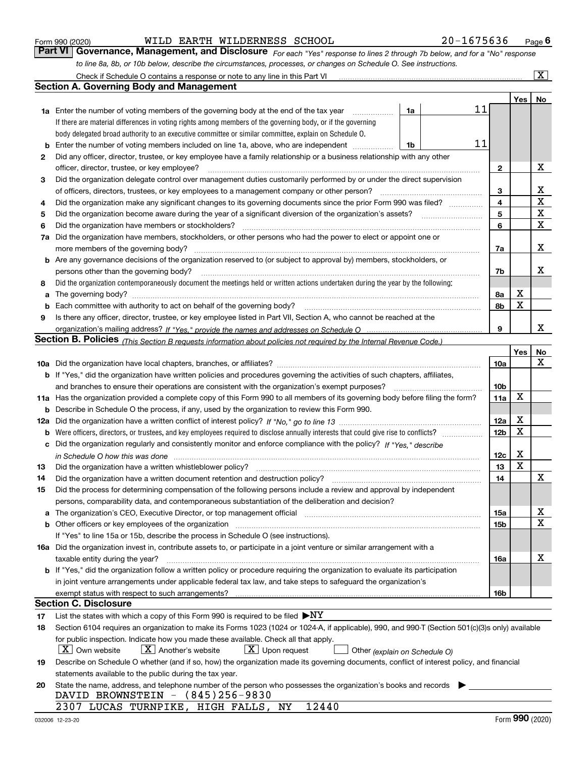|  | Form 990 (2020) |
|--|-----------------|
|  |                 |

Form 990 (2020) WILDERATHE WILDERNESS SCHOOL 2U-I6 / 5 6 3 6 Page WILD EARTH WILDERNESS SCHOOL 20-1675636

Page 6

For each "Yes" response to lines 2 through 7b below, and for a "No" response to line 8a, 8b, or 10b below, describe the circumstances, processes, or changes on Schedule O. See instructions. Part VI Governance, Management, and Disclosure

|    | Check if Schedule O contains a response or note to any line in this Part VI                                                                                                                                                    |                 |     | $\overline{\mathbf{X}}$ |
|----|--------------------------------------------------------------------------------------------------------------------------------------------------------------------------------------------------------------------------------|-----------------|-----|-------------------------|
|    | Section A. Governing Body and Management                                                                                                                                                                                       |                 |     |                         |
|    |                                                                                                                                                                                                                                |                 | Yes | No                      |
|    | 11<br>1a<br><b>1a</b> Enter the number of voting members of the governing body at the end of the tax year <i>manumum</i>                                                                                                       |                 |     |                         |
|    | If there are material differences in voting rights among members of the governing body, or if the governing                                                                                                                    |                 |     |                         |
|    | body delegated broad authority to an executive committee or similar committee, explain on Schedule O.                                                                                                                          |                 |     |                         |
| b  | 11<br>Enter the number of voting members included on line 1a, above, who are independent<br>1b                                                                                                                                 |                 |     |                         |
| 2  | Did any officer, director, trustee, or key employee have a family relationship or a business relationship with any other                                                                                                       |                 |     |                         |
|    | officer, director, trustee, or key employee?                                                                                                                                                                                   | $\mathbf{2}$    |     | x                       |
|    | Did the organization delegate control over management duties customarily performed by or under the direct supervision                                                                                                          |                 |     |                         |
| 3  |                                                                                                                                                                                                                                |                 |     | х                       |
|    | of officers, directors, trustees, or key employees to a management company or other person?                                                                                                                                    | 3               |     | $\mathbf X$             |
| 4  | Did the organization make any significant changes to its governing documents since the prior Form 990 was filed?                                                                                                               | 4               |     | $\mathbf X$             |
| 5  | Did the organization become aware during the year of a significant diversion of the organization's assets?                                                                                                                     | 5               |     | $\mathbf X$             |
| 6  | Did the organization have members or stockholders?                                                                                                                                                                             | 6               |     |                         |
| 7a | Did the organization have members, stockholders, or other persons who had the power to elect or appoint one or                                                                                                                 |                 |     |                         |
|    | more members of the governing body?                                                                                                                                                                                            | 7a              |     | х                       |
|    | <b>b</b> Are any governance decisions of the organization reserved to (or subject to approval by) members, stockholders, or                                                                                                    |                 |     |                         |
|    | persons other than the governing body?                                                                                                                                                                                         | 7b              |     | x                       |
| 8  | Did the organization contemporaneously document the meetings held or written actions undertaken during the year by the following:                                                                                              |                 |     |                         |
| a  |                                                                                                                                                                                                                                | 8а              | х   |                         |
| b  | Each committee with authority to act on behalf of the governing body?                                                                                                                                                          | 8b              | X   |                         |
| 9  | Is there any officer, director, trustee, or key employee listed in Part VII, Section A, who cannot be reached at the                                                                                                           |                 |     |                         |
|    |                                                                                                                                                                                                                                | 9               |     | х                       |
|    | Section B. Policies <sub>(This Section B requests information about policies not required by the Internal Revenue Code.)</sub>                                                                                                 |                 |     |                         |
|    |                                                                                                                                                                                                                                |                 | Yes | No                      |
|    |                                                                                                                                                                                                                                | <b>10a</b>      |     | Х                       |
|    | b If "Yes," did the organization have written policies and procedures governing the activities of such chapters, affiliates,                                                                                                   |                 |     |                         |
|    | and branches to ensure their operations are consistent with the organization's exempt purposes?                                                                                                                                | 10 <sub>b</sub> |     |                         |
|    | 11a Has the organization provided a complete copy of this Form 990 to all members of its governing body before filing the form?                                                                                                | 11a             | х   |                         |
| b  | Describe in Schedule O the process, if any, used by the organization to review this Form 990.                                                                                                                                  |                 |     |                         |
|    |                                                                                                                                                                                                                                | 12a             | х   |                         |
|    |                                                                                                                                                                                                                                | 12 <sub>b</sub> | X   |                         |
|    | c Did the organization regularly and consistently monitor and enforce compliance with the policy? If "Yes," describe                                                                                                           |                 |     |                         |
|    | in Schedule O how this was done www.communication.com/www.communication.com/www.communication.com/www.com                                                                                                                      | 12c             | х   |                         |
| 13 | Did the organization have a written whistleblower policy?                                                                                                                                                                      | 13              | X   |                         |
| 14 | Did the organization have a written document retention and destruction policy?                                                                                                                                                 | 14              |     | X                       |
| 15 | Did the process for determining compensation of the following persons include a review and approval by independent                                                                                                             |                 |     |                         |
|    | persons, comparability data, and contemporaneous substantiation of the deliberation and decision?                                                                                                                              |                 |     |                         |
|    | a The organization's CEO, Executive Director, or top management official manufactor content content content of                                                                                                                 | 15a             |     | X                       |
|    | b Other officers or key employees of the organization manufactured content to the organization of the organization manufactured content of the organization manufactured content of the organization manufactured content of t | 15b             |     | х                       |
|    | If "Yes" to line 15a or 15b, describe the process in Schedule O (see instructions).                                                                                                                                            |                 |     |                         |
|    | 16a Did the organization invest in, contribute assets to, or participate in a joint venture or similar arrangement with a                                                                                                      |                 |     |                         |
|    | taxable entity during the year?                                                                                                                                                                                                | 16a             |     | х                       |
|    | b If "Yes," did the organization follow a written policy or procedure requiring the organization to evaluate its participation                                                                                                 |                 |     |                         |
|    | in joint venture arrangements under applicable federal tax law, and take steps to safeguard the organization's                                                                                                                 |                 |     |                         |
|    |                                                                                                                                                                                                                                | 16b             |     |                         |
|    | <b>Section C. Disclosure</b>                                                                                                                                                                                                   |                 |     |                         |
| 17 | List the states with which a copy of this Form 990 is required to be filed $\blacktriangleright NY$                                                                                                                            |                 |     |                         |
| 18 | Section 6104 requires an organization to make its Forms 1023 (1024 or 1024-A, if applicable), 990, and 990-T (Section 501(c)(3)s only) available                                                                               |                 |     |                         |
|    | for public inspection. Indicate how you made these available. Check all that apply.                                                                                                                                            |                 |     |                         |
|    | $X$ Own website<br>$X$ Another's website<br>$X$ Upon request<br>Other (explain on Schedule O)                                                                                                                                  |                 |     |                         |
| 19 | Describe on Schedule O whether (and if so, how) the organization made its governing documents, conflict of interest policy, and financial                                                                                      |                 |     |                         |
|    | statements available to the public during the tax year.                                                                                                                                                                        |                 |     |                         |
| 20 | State the name, address, and telephone number of the person who possesses the organization's books and records                                                                                                                 |                 |     |                         |
|    | DAVID BROWNSTEIN - (845)256-9830                                                                                                                                                                                               |                 |     |                         |
|    | 12440<br>2307 LUCAS TURNPIKE, HIGH FALLS, NY                                                                                                                                                                                   |                 |     |                         |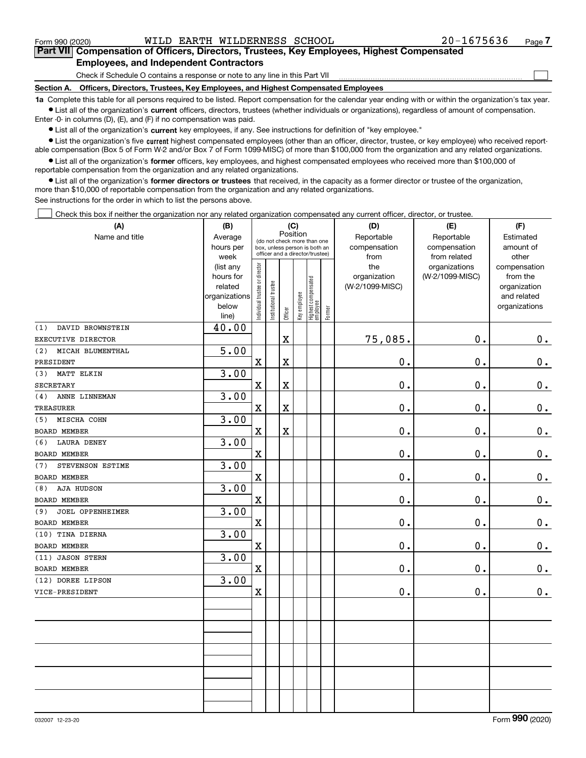$_{\rm Form}$  990 (2020) <code>WILD EARTH WILDERNESS SCHOOL</code>  $20$   $-1675636$   $_{\rm Page}$ 

 $\begin{array}{c} \hline \end{array}$ 

#### Part VII Compensation of Officers, Directors, Trustees, Key Employees, Highest Compensated Employees, and Independent Contractors

Check if Schedule O contains a response or note to any line in this Part VII

Section A. Officers, Directors, Trustees, Key Employees, and Highest Compensated Employees

1a Complete this table for all persons required to be listed. Report compensation for the calendar year ending with or within the organization's tax year. Ist all of the organization's current officers, directors, trustees (whether individuals or organizations), regardless of amount of compensation.

Enter -0- in columns (D), (E), and (F) if no compensation was paid.

 $\bullet$  List all of the organization's current key employees, if any. See instructions for definition of "key employee."

● List the organization's five current highest compensated employees (other than an officer, director, trustee, or key employee) who received reportable compensation (Box 5 of Form W-2 and/or Box 7 of Form 1099-MISC) of more than \$100,000 from the organization and any related organizations.

List all of the organization's former officers, key employees, and highest compensated employees who received more than \$100,000 of reportable compensation from the organization and any related organizations.

• List all of the organization's former directors or trustees that received, in the capacity as a former director or trustee of the organization, more than \$10,000 of reportable compensation from the organization and any related organizations.

See instructions for the order in which to list the persons above.

Check this box if neither the organization nor any related organization compensated any current officer, director, or trustee.  $\Box$ 

| (A)                     | (B)                    | (C)<br>Position                |                                                                                                 |                         |              |                                 |           | (D)             | (E)             | (F)           |  |  |
|-------------------------|------------------------|--------------------------------|-------------------------------------------------------------------------------------------------|-------------------------|--------------|---------------------------------|-----------|-----------------|-----------------|---------------|--|--|
| Name and title          | Average                |                                |                                                                                                 |                         |              |                                 |           | Reportable      | Reportable      | Estimated     |  |  |
|                         | hours per              |                                | (do not check more than one<br>box, unless person is both an<br>officer and a director/trustee) |                         | compensation | compensation                    | amount of |                 |                 |               |  |  |
|                         | week                   |                                |                                                                                                 |                         | from         | from related                    | other     |                 |                 |               |  |  |
|                         | (list any              |                                |                                                                                                 |                         |              |                                 |           | the             | organizations   | compensation  |  |  |
|                         | hours for              |                                |                                                                                                 |                         |              |                                 |           | organization    | (W-2/1099-MISC) | from the      |  |  |
|                         | related                |                                |                                                                                                 |                         |              |                                 |           | (W-2/1099-MISC) |                 | organization  |  |  |
|                         | organizations<br>below |                                |                                                                                                 |                         |              |                                 |           |                 |                 | and related   |  |  |
|                         | line)                  | Individual trustee or director | Institutional trustee                                                                           | Officer                 | Key employee | Highest compensated<br>employee | Former    |                 |                 | organizations |  |  |
| DAVID BROWNSTEIN<br>(1) | 40.00                  |                                |                                                                                                 |                         |              |                                 |           |                 |                 |               |  |  |
| EXECUTIVE DIRECTOR      |                        |                                |                                                                                                 | $\mathbf X$             |              |                                 |           | 75,085.         | 0.              | $0_{.}$       |  |  |
| MICAH BLUMENTHAL<br>(2) | 5.00                   |                                |                                                                                                 |                         |              |                                 |           |                 |                 |               |  |  |
| PRESIDENT               |                        | $\mathbf X$                    |                                                                                                 | $\mathbf X$             |              |                                 |           | $\mathbf 0$ .   | 0.              | $\mathbf 0$ . |  |  |
| (3)<br>MATT ELKIN       | 3.00                   |                                |                                                                                                 |                         |              |                                 |           |                 |                 |               |  |  |
| <b>SECRETARY</b>        |                        | $\mathbf X$                    |                                                                                                 | $\mathbf X$             |              |                                 |           | 0.              | $\mathbf 0$ .   | $\mathbf 0$ . |  |  |
| ANNE LINNEMAN<br>(4)    | 3.00                   |                                |                                                                                                 |                         |              |                                 |           |                 |                 |               |  |  |
| TREASURER               |                        | $\mathbf X$                    |                                                                                                 | $\overline{\textbf{X}}$ |              |                                 |           | 0.              | $\mathbf 0$ .   | $\mathbf 0$ . |  |  |
| MISCHA COHN<br>(5)      | 3.00                   |                                |                                                                                                 |                         |              |                                 |           |                 |                 |               |  |  |
| BOARD MEMBER            |                        | $\mathbf x$                    |                                                                                                 | $\mathbf X$             |              |                                 |           | 0.              | $\mathbf 0$ .   | $\mathbf 0$ . |  |  |
| LAURA DENEY<br>(6)      | 3.00                   |                                |                                                                                                 |                         |              |                                 |           |                 |                 |               |  |  |
| BOARD MEMBER            |                        | $\overline{\textbf{X}}$        |                                                                                                 |                         |              |                                 |           | 0.              | $\mathbf 0$ .   | $\mathbf 0$ . |  |  |
| STEVENSON ESTIME<br>(7) | 3.00                   |                                |                                                                                                 |                         |              |                                 |           |                 |                 |               |  |  |
| BOARD MEMBER            |                        | $\mathbf x$                    |                                                                                                 |                         |              |                                 |           | 0.              | $\mathbf 0$ .   | $\mathbf 0$ . |  |  |
| AJA HUDSON<br>(8)       | 3.00                   |                                |                                                                                                 |                         |              |                                 |           |                 |                 |               |  |  |
| <b>BOARD MEMBER</b>     |                        | $\mathbf x$                    |                                                                                                 |                         |              |                                 |           | $\mathbf 0$ .   | 0.              | $\mathbf 0$ . |  |  |
| JOEL OPPENHEIMER<br>(9) | 3.00                   |                                |                                                                                                 |                         |              |                                 |           |                 |                 |               |  |  |
| <b>BOARD MEMBER</b>     |                        | $\mathbf x$                    |                                                                                                 |                         |              |                                 |           | $0$ .           | 0.              | 0.            |  |  |
| (10) TINA DIERNA        | 3.00                   |                                |                                                                                                 |                         |              |                                 |           |                 |                 |               |  |  |
| <b>BOARD MEMBER</b>     |                        | $\mathbf X$                    |                                                                                                 |                         |              |                                 |           | $\mathbf 0$ .   | $\mathbf 0$ .   | $\mathbf 0$ . |  |  |
| (11) JASON STERN        | 3.00                   |                                |                                                                                                 |                         |              |                                 |           |                 |                 |               |  |  |
| <b>BOARD MEMBER</b>     |                        | $\mathbf X$                    |                                                                                                 |                         |              |                                 |           | $\mathbf 0$ .   | $\mathbf 0$ .   | $\mathbf 0$ . |  |  |
| (12) DOREE LIPSON       | 3.00                   |                                |                                                                                                 |                         |              |                                 |           |                 |                 |               |  |  |
| VICE-PRESIDENT          |                        | $\mathbf X$                    |                                                                                                 |                         |              |                                 |           | 0.              | 0.              | 0.            |  |  |
|                         |                        |                                |                                                                                                 |                         |              |                                 |           |                 |                 |               |  |  |
|                         |                        |                                |                                                                                                 |                         |              |                                 |           |                 |                 |               |  |  |
|                         |                        |                                |                                                                                                 |                         |              |                                 |           |                 |                 |               |  |  |
|                         |                        |                                |                                                                                                 |                         |              |                                 |           |                 |                 |               |  |  |
|                         |                        |                                |                                                                                                 |                         |              |                                 |           |                 |                 |               |  |  |
|                         |                        |                                |                                                                                                 |                         |              |                                 |           |                 |                 |               |  |  |
|                         |                        |                                |                                                                                                 |                         |              |                                 |           |                 |                 |               |  |  |
|                         |                        |                                |                                                                                                 |                         |              |                                 |           |                 |                 |               |  |  |
|                         |                        |                                |                                                                                                 |                         |              |                                 |           |                 |                 |               |  |  |
|                         |                        |                                |                                                                                                 |                         |              |                                 |           |                 |                 |               |  |  |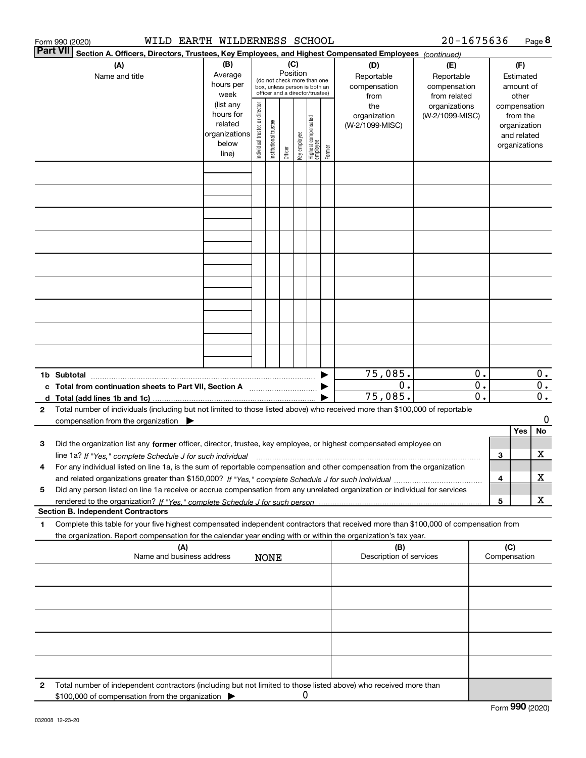|   | WILD EARTH WILDERNESS SCHOOL<br>Form 990 (2020)                                                                                                                                                                                                                      |                                                                      |                                                                                                                    |                       |         |              |                                 |        |                                           | 20-1675636                                        |                                      |                                        |                                                                          | Page 8                               |
|---|----------------------------------------------------------------------------------------------------------------------------------------------------------------------------------------------------------------------------------------------------------------------|----------------------------------------------------------------------|--------------------------------------------------------------------------------------------------------------------|-----------------------|---------|--------------|---------------------------------|--------|-------------------------------------------|---------------------------------------------------|--------------------------------------|----------------------------------------|--------------------------------------------------------------------------|--------------------------------------|
|   | Part VII<br>Section A. Officers, Directors, Trustees, Key Employees, and Highest Compensated Employees (continued)                                                                                                                                                   |                                                                      |                                                                                                                    |                       |         |              |                                 |        |                                           |                                                   |                                      |                                        |                                                                          |                                      |
|   | (A)<br>Name and title                                                                                                                                                                                                                                                | (B)<br>Average<br>hours per<br>week                                  | (C)<br>Position<br>(do not check more than one<br>box, unless person is both an<br>officer and a director/trustee) |                       |         |              |                                 |        | (D)<br>Reportable<br>compensation<br>from | (E)<br>Reportable<br>compensation<br>from related |                                      | (F)<br>Estimated<br>amount of<br>other |                                                                          |                                      |
|   |                                                                                                                                                                                                                                                                      | (list any<br>hours for<br>related<br>organizations<br>below<br>line) | Individual trustee or director                                                                                     | Institutional trustee | Officer | key employee | Highest compensated<br>employee | Former | the<br>organization<br>(W-2/1099-MISC)    | organizations<br>(W-2/1099-MISC)                  |                                      |                                        | compensation<br>from the<br>organization<br>and related<br>organizations |                                      |
|   |                                                                                                                                                                                                                                                                      |                                                                      |                                                                                                                    |                       |         |              |                                 |        |                                           |                                                   |                                      |                                        |                                                                          |                                      |
|   |                                                                                                                                                                                                                                                                      |                                                                      |                                                                                                                    |                       |         |              |                                 |        |                                           |                                                   |                                      |                                        |                                                                          |                                      |
|   |                                                                                                                                                                                                                                                                      |                                                                      |                                                                                                                    |                       |         |              |                                 |        |                                           |                                                   |                                      |                                        |                                                                          |                                      |
|   |                                                                                                                                                                                                                                                                      |                                                                      |                                                                                                                    |                       |         |              |                                 |        |                                           |                                                   |                                      |                                        |                                                                          |                                      |
|   |                                                                                                                                                                                                                                                                      |                                                                      |                                                                                                                    |                       |         |              |                                 |        |                                           |                                                   |                                      |                                        |                                                                          |                                      |
|   |                                                                                                                                                                                                                                                                      |                                                                      |                                                                                                                    |                       |         |              |                                 |        |                                           |                                                   |                                      |                                        |                                                                          |                                      |
|   |                                                                                                                                                                                                                                                                      |                                                                      |                                                                                                                    |                       |         |              |                                 |        |                                           |                                                   |                                      |                                        |                                                                          |                                      |
|   |                                                                                                                                                                                                                                                                      |                                                                      |                                                                                                                    |                       |         |              |                                 |        |                                           |                                                   |                                      |                                        |                                                                          |                                      |
|   | 1b Subtotal                                                                                                                                                                                                                                                          |                                                                      |                                                                                                                    |                       |         |              |                                 |        | 75,085.                                   |                                                   | 0.                                   |                                        |                                                                          | $0$ .                                |
|   | c Total from continuation sheets to Part VII, Section A                                                                                                                                                                                                              |                                                                      |                                                                                                                    |                       |         |              |                                 |        | 0.<br>75,085.                             |                                                   | $\overline{0}$ .<br>$\overline{0}$ . |                                        |                                                                          | $\overline{0}$ .<br>$\overline{0}$ . |
| 2 | Total number of individuals (including but not limited to those listed above) who received more than \$100,000 of reportable<br>compensation from the organization $\blacktriangleright$                                                                             |                                                                      |                                                                                                                    |                       |         |              |                                 |        |                                           |                                                   |                                      |                                        |                                                                          | 0                                    |
|   |                                                                                                                                                                                                                                                                      |                                                                      |                                                                                                                    |                       |         |              |                                 |        |                                           |                                                   |                                      |                                        | Yes                                                                      | No                                   |
| з | Did the organization list any former officer, director, trustee, key employee, or highest compensated employee on<br>line 1a? If "Yes," complete Schedule J for such individual manufactured contained and the 1a? If "Yes," complete Schedule J for such individual |                                                                      |                                                                                                                    |                       |         |              |                                 |        |                                           |                                                   |                                      | 3                                      |                                                                          | x                                    |
| 4 | For any individual listed on line 1a, is the sum of reportable compensation and other compensation from the organization                                                                                                                                             |                                                                      |                                                                                                                    |                       |         |              |                                 |        |                                           |                                                   |                                      | 4                                      |                                                                          | x                                    |
| 5 | Did any person listed on line 1a receive or accrue compensation from any unrelated organization or individual for services                                                                                                                                           |                                                                      |                                                                                                                    |                       |         |              |                                 |        |                                           |                                                   |                                      | 5                                      |                                                                          | x                                    |
|   | <b>Section B. Independent Contractors</b>                                                                                                                                                                                                                            |                                                                      |                                                                                                                    |                       |         |              |                                 |        |                                           |                                                   |                                      |                                        |                                                                          |                                      |
| 1 | Complete this table for your five highest compensated independent contractors that received more than \$100,000 of compensation from<br>the organization. Report compensation for the calendar year ending with or within the organization's tax year.               |                                                                      |                                                                                                                    |                       |         |              |                                 |        |                                           |                                                   |                                      |                                        |                                                                          |                                      |
|   | (A)<br>Name and business address                                                                                                                                                                                                                                     |                                                                      |                                                                                                                    | <b>NONE</b>           |         |              |                                 |        | (B)<br>Description of services            |                                                   |                                      | (C)                                    | Compensation                                                             |                                      |
|   |                                                                                                                                                                                                                                                                      |                                                                      |                                                                                                                    |                       |         |              |                                 |        |                                           |                                                   |                                      |                                        |                                                                          |                                      |
|   |                                                                                                                                                                                                                                                                      |                                                                      |                                                                                                                    |                       |         |              |                                 |        |                                           |                                                   |                                      |                                        |                                                                          |                                      |
|   |                                                                                                                                                                                                                                                                      |                                                                      |                                                                                                                    |                       |         |              |                                 |        |                                           |                                                   |                                      |                                        |                                                                          |                                      |
|   |                                                                                                                                                                                                                                                                      |                                                                      |                                                                                                                    |                       |         |              |                                 |        |                                           |                                                   |                                      |                                        |                                                                          |                                      |
| 2 | Total number of independent contractors (including but not limited to those listed above) who received more than                                                                                                                                                     |                                                                      |                                                                                                                    |                       |         |              |                                 |        |                                           |                                                   |                                      |                                        |                                                                          |                                      |
|   | \$100,000 of compensation from the organization                                                                                                                                                                                                                      |                                                                      |                                                                                                                    |                       |         | 0            |                                 |        |                                           |                                                   |                                      |                                        |                                                                          |                                      |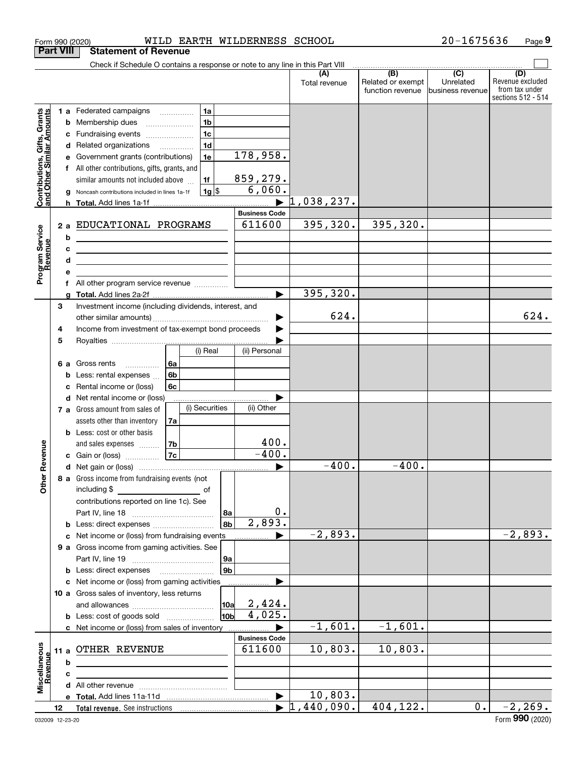|                                                                                         | <b>Part VIII</b>       | <b>Statement of Revenue</b>                                                                                                                                                                                                                                                                                                                                                                                                                                              |                 |                                                                                 |                      |                                                                                           |                                             |                                                           |                                                   |                                                                 |
|-----------------------------------------------------------------------------------------|------------------------|--------------------------------------------------------------------------------------------------------------------------------------------------------------------------------------------------------------------------------------------------------------------------------------------------------------------------------------------------------------------------------------------------------------------------------------------------------------------------|-----------------|---------------------------------------------------------------------------------|----------------------|-------------------------------------------------------------------------------------------|---------------------------------------------|-----------------------------------------------------------|---------------------------------------------------|-----------------------------------------------------------------|
|                                                                                         |                        | Check if Schedule O contains a response or note to any line in this Part VIII                                                                                                                                                                                                                                                                                                                                                                                            |                 |                                                                                 |                      |                                                                                           |                                             |                                                           |                                                   |                                                                 |
|                                                                                         |                        |                                                                                                                                                                                                                                                                                                                                                                                                                                                                          |                 |                                                                                 |                      |                                                                                           | Total revenue                               | $\overline{(B)}$<br>Related or exempt<br>function revenue | $\overline{(C)}$<br>Unrelated<br>business revenue | (D)<br>Revenue excluded<br>from tax under<br>sections 512 - 514 |
| Contributions, Gifts, Grants<br>and Other Similar Amounts<br>Program Service<br>Revenue | b<br>a<br>2a<br>b<br>с | 1 a Federated campaigns<br>Membership dues<br>Fundraising events<br>d Related organizations<br>Government grants (contributions)<br>f All other contributions, gifts, grants, and<br>similar amounts not included above<br>Noncash contributions included in lines 1a-1f<br>EDUCATIONAL PROGRAMS<br><u> 1980 - Jan Barnett, fransk politiker (d. 1980)</u><br><u> 1989 - Johann Stein, mars an deus an deus Amerikaanse komme</u><br>f All other program service revenue |                 | 1a<br>1 <sub>b</sub><br>1 <sub>c</sub><br>1 <sub>d</sub><br>1e<br>1f<br>$1g$ \$ |                      | 178,958.<br>859,279.<br>6,060.<br>$\blacktriangleright$<br><b>Business Code</b><br>611600 | 1,038,237.<br>395, 320.                     | 395, 320.                                                 |                                                   |                                                                 |
|                                                                                         | 3                      |                                                                                                                                                                                                                                                                                                                                                                                                                                                                          |                 |                                                                                 |                      | ь                                                                                         | 395, 320.                                   |                                                           |                                                   |                                                                 |
|                                                                                         | 4<br>5                 | Investment income (including dividends, interest, and<br>Income from investment of tax-exempt bond proceeds                                                                                                                                                                                                                                                                                                                                                              |                 |                                                                                 |                      |                                                                                           | 624.                                        |                                                           |                                                   | 624.                                                            |
|                                                                                         | 6а                     | Gross rents<br>Less: rental expenses<br>Rental income or (loss)                                                                                                                                                                                                                                                                                                                                                                                                          | ∣6a<br>6b<br>6c | (i) Real                                                                        |                      | (ii) Personal                                                                             |                                             |                                                           |                                                   |                                                                 |
|                                                                                         | d                      | Net rental income or (loss)<br>7 a Gross amount from sales of<br>assets other than inventory<br><b>b</b> Less: cost or other basis<br>and sales expenses  7b                                                                                                                                                                                                                                                                                                             | 7a              | (i) Securities                                                                  |                      | (ii) Other<br>400.                                                                        |                                             |                                                           |                                                   |                                                                 |
| Revenue                                                                                 |                        | <b>c</b> Gain or (loss) $\ldots$                                                                                                                                                                                                                                                                                                                                                                                                                                         | 7c              |                                                                                 |                      | $-400.$                                                                                   |                                             |                                                           |                                                   |                                                                 |
| Othe                                                                                    |                        | 8 a Gross income from fundraising events (not<br>including \$<br>contributions reported on line 1c). See<br><b>b</b> Less: direct expenses                                                                                                                                                                                                                                                                                                                               |                 | оf                                                                              | l 8a<br>8b           | $\boldsymbol{0}$ .<br>2,893.                                                              | $-400.$                                     | $-400.$                                                   |                                                   |                                                                 |
|                                                                                         |                        | c Net income or (loss) from fundraising events                                                                                                                                                                                                                                                                                                                                                                                                                           |                 |                                                                                 |                      |                                                                                           | $-2,893.$                                   |                                                           |                                                   | $-2,893.$                                                       |
|                                                                                         |                        | 9 a Gross income from gaming activities. See<br><b>b</b> Less: direct expenses                                                                                                                                                                                                                                                                                                                                                                                           |                 |                                                                                 | 9a<br>9 <sub>b</sub> |                                                                                           |                                             |                                                           |                                                   |                                                                 |
|                                                                                         |                        | c Net income or (loss) from gaming activities<br>10 a Gross sales of inventory, less returns<br><b>b</b> Less: cost of goods sold                                                                                                                                                                                                                                                                                                                                        |                 |                                                                                 | <b>10a</b><br>10b    | 2,424.<br>4,025.                                                                          |                                             |                                                           |                                                   |                                                                 |
|                                                                                         |                        | c Net income or (loss) from sales of inventory                                                                                                                                                                                                                                                                                                                                                                                                                           |                 |                                                                                 |                      |                                                                                           | $-1,601.$                                   | $-1,601.$                                                 |                                                   |                                                                 |
| Miscellaneous<br>Revenue                                                                | 11 a<br>b              | OTHER REVENUE                                                                                                                                                                                                                                                                                                                                                                                                                                                            |                 |                                                                                 |                      | <b>Business Code</b><br>611600                                                            | 10,803.                                     | 10,803.                                                   |                                                   |                                                                 |
|                                                                                         | с                      |                                                                                                                                                                                                                                                                                                                                                                                                                                                                          |                 |                                                                                 |                      |                                                                                           |                                             |                                                           |                                                   |                                                                 |
|                                                                                         |                        |                                                                                                                                                                                                                                                                                                                                                                                                                                                                          |                 |                                                                                 |                      |                                                                                           |                                             |                                                           |                                                   |                                                                 |
|                                                                                         | 12                     |                                                                                                                                                                                                                                                                                                                                                                                                                                                                          |                 |                                                                                 |                      |                                                                                           | 10,803.<br>$\blacktriangleright$ 1,440,090. | 404,122.                                                  | 0.1                                               | $-2, 269.$                                                      |
|                                                                                         |                        |                                                                                                                                                                                                                                                                                                                                                                                                                                                                          |                 |                                                                                 |                      |                                                                                           |                                             |                                                           |                                                   |                                                                 |

Form 990 (2020) Page

WILD EARTH WILDERNESS SCHOOL 20-1675636

Page 9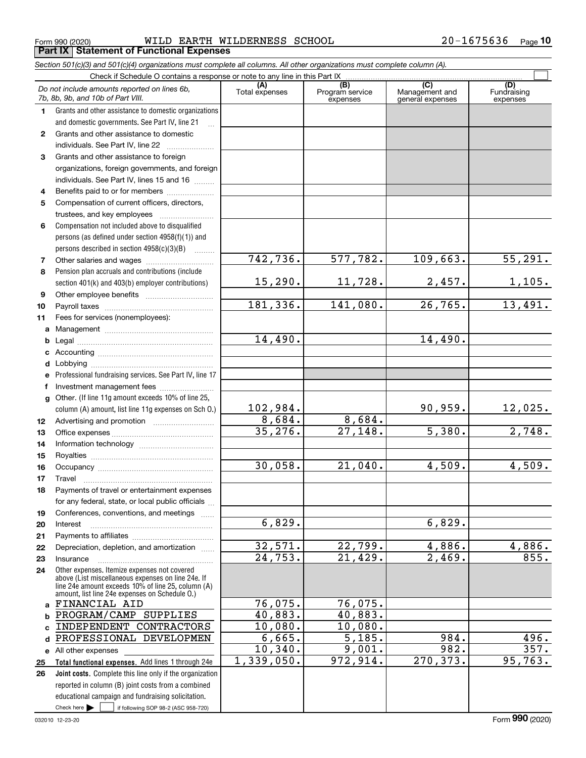Form 990 (2020) WILD\_EARTH\_WILDERNESS\_SCHOOL 2 0-1 6 7 5 6 3 6 Page<br>| **Part IX | Statement of Functional Expenses** WILD EARTH WILDERNESS SCHOOL 20-1675636

Section 501(c)(3) and 501(c)(4) organizations must complete all columns. All other organizations must complete column (A).

|              | Do not include amounts reported on lines 6b,<br>7b, 8b, 9b, and 10b of Part VIII.                    | (A)<br>Total expenses | (B)<br>Program service<br>expenses | $\overline{C}$<br>Management and<br>general expenses | (D)<br>Fundraising<br>expenses |
|--------------|------------------------------------------------------------------------------------------------------|-----------------------|------------------------------------|------------------------------------------------------|--------------------------------|
| 1            | Grants and other assistance to domestic organizations                                                |                       |                                    |                                                      |                                |
|              | and domestic governments. See Part IV, line 21                                                       |                       |                                    |                                                      |                                |
| 2            | Grants and other assistance to domestic                                                              |                       |                                    |                                                      |                                |
|              | individuals. See Part IV, line 22                                                                    |                       |                                    |                                                      |                                |
| 3            | Grants and other assistance to foreign                                                               |                       |                                    |                                                      |                                |
|              | organizations, foreign governments, and foreign                                                      |                       |                                    |                                                      |                                |
|              | individuals. See Part IV, lines 15 and 16                                                            |                       |                                    |                                                      |                                |
| 4            | Benefits paid to or for members                                                                      |                       |                                    |                                                      |                                |
| 5            | Compensation of current officers, directors,                                                         |                       |                                    |                                                      |                                |
|              | trustees, and key employees                                                                          |                       |                                    |                                                      |                                |
| 6            | Compensation not included above to disqualified                                                      |                       |                                    |                                                      |                                |
|              | persons (as defined under section 4958(f)(1)) and                                                    |                       |                                    |                                                      |                                |
|              | persons described in section 4958(c)(3)(B)<br>$\mathcal{L}$                                          |                       |                                    |                                                      |                                |
| 7            | Other salaries and wages                                                                             | 742, 736.             | 577,782.                           | 109,663.                                             | $\overline{55,291.}$           |
| 8            | Pension plan accruals and contributions (include                                                     |                       |                                    |                                                      |                                |
|              | section 401(k) and 403(b) employer contributions)                                                    | 15, 290.              | 11,728.                            | 2,457.                                               | 1,105.                         |
| 9            |                                                                                                      |                       |                                    |                                                      |                                |
| 10           |                                                                                                      | 181, 336.             | 141,080.                           | 26,765.                                              | 13,491.                        |
| 11           | Fees for services (nonemployees):                                                                    |                       |                                    |                                                      |                                |
| a            |                                                                                                      |                       |                                    |                                                      |                                |
| b            |                                                                                                      | 14,490.               |                                    | 14,490.                                              |                                |
| c            |                                                                                                      |                       |                                    |                                                      |                                |
| d            |                                                                                                      |                       |                                    |                                                      |                                |
| е            | Professional fundraising services. See Part IV, line 17                                              |                       |                                    |                                                      |                                |
| f            | Investment management fees                                                                           |                       |                                    |                                                      |                                |
| $\mathbf{q}$ | Other. (If line 11g amount exceeds 10% of line 25,                                                   |                       |                                    |                                                      |                                |
|              | column (A) amount, list line 11g expenses on Sch O.)                                                 | 102,984.              |                                    | 90,959.                                              | 12,025.                        |
| 12           |                                                                                                      | 8,684.                | 8,684.                             |                                                      |                                |
| 13           |                                                                                                      | 35, 276.              | 27,148.                            | 5,380.                                               | 2,748.                         |
| 14           |                                                                                                      |                       |                                    |                                                      |                                |
| 15           |                                                                                                      |                       |                                    |                                                      |                                |
| 16           |                                                                                                      | 30,058.               | 21,040.                            | 4,509.                                               | 4,509.                         |
| 17           | Travel                                                                                               |                       |                                    |                                                      |                                |
| 18           | Payments of travel or entertainment expenses                                                         |                       |                                    |                                                      |                                |
|              | for any federal, state, or local public officials                                                    |                       |                                    |                                                      |                                |
| 19           | Conferences, conventions, and meetings                                                               | 6,829.                |                                    | 6,829.                                               |                                |
| 20           | Interest                                                                                             |                       |                                    |                                                      |                                |
| 21           | Depreciation, depletion, and amortization                                                            | 32,571.               | 22,799.                            | 4,886.                                               | 4,886.                         |
| 22<br>23     | Insurance                                                                                            | 24,753.               | 21,429.                            | 2,469.                                               | 855.                           |
| 24           | Other expenses. Itemize expenses not covered                                                         |                       |                                    |                                                      |                                |
|              | above (List miscellaneous expenses on line 24e. If                                                   |                       |                                    |                                                      |                                |
|              | line 24e amount exceeds 10% of line 25, column (A)<br>amount, list line 24e expenses on Schedule 0.) |                       |                                    |                                                      |                                |
| a            | FINANCIAL AID                                                                                        | 76,075.               | 76,075.                            |                                                      |                                |
| b            | PROGRAM/CAMP SUPPLIES                                                                                | 40,883.               | 40,883.                            |                                                      |                                |
| C            | INDEPENDENT CONTRACTORS                                                                              | 10,080.               | 10,080.                            |                                                      |                                |
| d            | PROFESSIONAL DEVELOPMEN                                                                              | 6,665.                | $\overline{5,185}$ .               | 984.                                                 | 496.                           |
|              | e All other expenses                                                                                 | 10,340.               | 9,001.                             | 982.                                                 | 357.                           |
| 25           | Total functional expenses. Add lines 1 through 24e                                                   | 1,339,050.            | 972, 914.                          | 270, 373.                                            | 95,763.                        |
| 26           | Joint costs. Complete this line only if the organization                                             |                       |                                    |                                                      |                                |
|              | reported in column (B) joint costs from a combined                                                   |                       |                                    |                                                      |                                |
|              | educational campaign and fundraising solicitation.                                                   |                       |                                    |                                                      |                                |
|              | Check here $\blacktriangleright$<br>if following SOP 98-2 (ASC 958-720)                              |                       |                                    |                                                      |                                |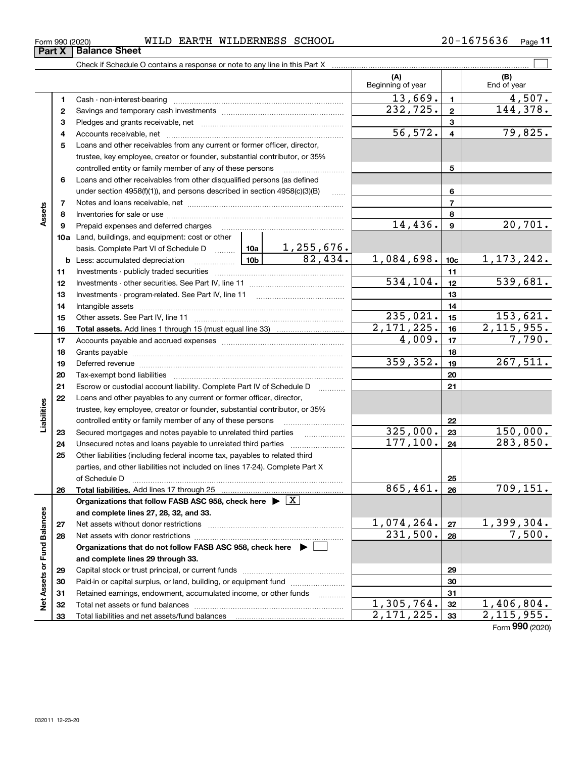| 675636<br>$20 -$<br>WILDERNESS SCHOOL<br>EARTH<br>WILD<br>⊥ 6ີ<br>Form 990 (2020) | Page |
|-----------------------------------------------------------------------------------|------|
|-----------------------------------------------------------------------------------|------|

|                             |    |                                                                                    |                 |           | (A)<br>Beginning of year    |                         | (B)<br>End of year          |  |  |  |
|-----------------------------|----|------------------------------------------------------------------------------------|-----------------|-----------|-----------------------------|-------------------------|-----------------------------|--|--|--|
|                             | 1  |                                                                                    |                 |           | 13,669.                     | $\blacksquare$          | 4,507.                      |  |  |  |
|                             | 2  |                                                                                    |                 |           | 232,725.                    | $\mathbf{2}$            | 144,378.                    |  |  |  |
|                             | з  |                                                                                    |                 |           |                             | 3                       |                             |  |  |  |
|                             | 4  |                                                                                    |                 |           | 56, 572.                    | $\overline{\mathbf{4}}$ | 79,825.                     |  |  |  |
|                             | 5  | Loans and other receivables from any current or former officer, director,          |                 |           |                             |                         |                             |  |  |  |
|                             |    | trustee, key employee, creator or founder, substantial contributor, or 35%         |                 |           |                             |                         |                             |  |  |  |
|                             |    | controlled entity or family member of any of these persons                         |                 |           |                             | 5                       |                             |  |  |  |
|                             | 6  | Loans and other receivables from other disqualified persons (as defined            |                 |           |                             |                         |                             |  |  |  |
|                             |    | under section 4958(f)(1)), and persons described in section 4958(c)(3)(B)          | $\ldots$        |           | 6                           |                         |                             |  |  |  |
|                             | 7  |                                                                                    |                 |           | $\overline{7}$              |                         |                             |  |  |  |
| Assets                      | 8  |                                                                                    |                 |           | 8                           |                         |                             |  |  |  |
|                             | 9  | Prepaid expenses and deferred charges                                              |                 |           | 14,436.                     | 9                       | 20,701.                     |  |  |  |
|                             |    | 10a Land, buildings, and equipment: cost or other                                  |                 |           |                             |                         |                             |  |  |  |
|                             |    | basis. Complete Part VI of Schedule D $\frac{10a}{10a}$ 1, 255, 676.               |                 |           |                             |                         |                             |  |  |  |
|                             |    | <b>b</b> Less: accumulated depreciation<br>$\ldots \ldots \ldots \ldots$           | 10 <sub>b</sub> | 82,434.   | 1,084,698.                  | 10 <sub>c</sub>         | 1, 173, 242.                |  |  |  |
|                             | 11 |                                                                                    |                 |           |                             | 11                      |                             |  |  |  |
|                             | 12 |                                                                                    |                 | 534, 104. | 12                          | 539,681.                |                             |  |  |  |
|                             | 13 |                                                                                    |                 |           | 13                          |                         |                             |  |  |  |
|                             | 14 |                                                                                    |                 | 235,021.  | 14                          | 153,621.                |                             |  |  |  |
|                             | 15 |                                                                                    |                 |           |                             |                         |                             |  |  |  |
|                             | 16 |                                                                                    |                 |           | 2,171,225.                  | 16                      | 2,115,955.                  |  |  |  |
|                             | 17 |                                                                                    |                 |           | 4,009.                      | 17                      | 7,790.                      |  |  |  |
|                             | 18 |                                                                                    |                 |           |                             | 18                      |                             |  |  |  |
|                             | 19 |                                                                                    |                 |           | 359, 352.                   | 19                      | 267,511.                    |  |  |  |
|                             | 20 |                                                                                    |                 |           |                             | 20                      |                             |  |  |  |
|                             | 21 | Escrow or custodial account liability. Complete Part IV of Schedule D              |                 |           |                             | 21                      |                             |  |  |  |
|                             | 22 | Loans and other payables to any current or former officer, director,               |                 |           |                             |                         |                             |  |  |  |
| Liabilities                 |    | trustee, key employee, creator or founder, substantial contributor, or 35%         |                 |           |                             |                         |                             |  |  |  |
|                             |    | controlled entity or family member of any of these persons                         |                 |           |                             | 22                      |                             |  |  |  |
|                             | 23 | Secured mortgages and notes payable to unrelated third parties                     |                 |           | 325,000.                    | 23                      | 150,000.                    |  |  |  |
|                             | 24 | Unsecured notes and loans payable to unrelated third parties                       |                 |           | 177, 100.                   | 24                      | 283,850.                    |  |  |  |
|                             | 25 | Other liabilities (including federal income tax, payables to related third         |                 |           |                             |                         |                             |  |  |  |
|                             |    | parties, and other liabilities not included on lines 17-24). Complete Part X       |                 |           |                             |                         |                             |  |  |  |
|                             |    |                                                                                    |                 |           |                             | 25                      |                             |  |  |  |
|                             | 26 |                                                                                    |                 |           | 865,461.                    | 26                      | 709,151.                    |  |  |  |
|                             |    | Organizations that follow FASB ASC 958, check here $\blacktriangleright \boxed{X}$ |                 |           |                             |                         |                             |  |  |  |
|                             |    | and complete lines 27, 28, 32, and 33.                                             |                 |           |                             |                         |                             |  |  |  |
|                             | 27 | Net assets without donor restrictions                                              |                 |           | $\frac{1,074,264}{231,500}$ | 27                      | $\frac{1,399,304.}{7,500.}$ |  |  |  |
|                             | 28 |                                                                                    |                 |           |                             | 28                      |                             |  |  |  |
|                             |    | Organizations that do not follow FASB ASC 958, check here $\blacktriangleright$    |                 |           |                             |                         |                             |  |  |  |
| Net Assets or Fund Balances |    | and complete lines 29 through 33.                                                  |                 |           |                             |                         |                             |  |  |  |
|                             | 29 |                                                                                    |                 |           |                             | 29                      |                             |  |  |  |
|                             | 30 | Paid-in or capital surplus, or land, building, or equipment fund                   |                 |           |                             | 30                      |                             |  |  |  |
|                             | 31 | Retained earnings, endowment, accumulated income, or other funds                   |                 |           |                             | 31                      |                             |  |  |  |
|                             | 32 |                                                                                    |                 |           | 1,305,764.                  | 32                      | 1,406,804.                  |  |  |  |
|                             | 33 |                                                                                    |                 |           | 2,171,225.                  | 33                      | 2,115,955.                  |  |  |  |

Part X | Balance Sheet

Form 990 (2020)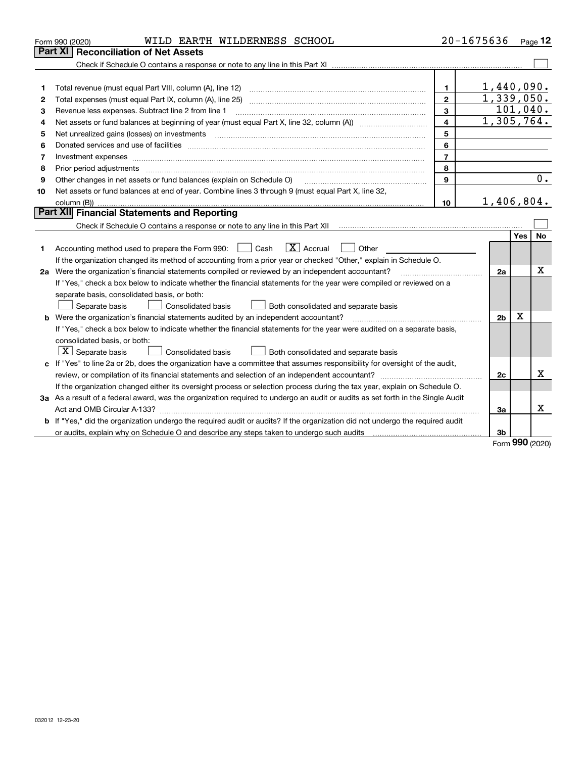|    | WILD EARTH WILDERNESS SCHOOL<br>Form 990 (2020)                                                                                                                                                                                |                                       | $20 - 1675636$ |            | Page $12$ |
|----|--------------------------------------------------------------------------------------------------------------------------------------------------------------------------------------------------------------------------------|---------------------------------------|----------------|------------|-----------|
|    | <b>Part XI</b><br><b>Reconciliation of Net Assets</b>                                                                                                                                                                          |                                       |                |            |           |
|    |                                                                                                                                                                                                                                |                                       |                |            |           |
|    |                                                                                                                                                                                                                                |                                       |                |            |           |
| 1  | Total revenue (must equal Part VIII, column (A), line 12)                                                                                                                                                                      | 1.                                    | 1,440,090.     |            |           |
| 2  | Total expenses (must equal Part IX, column (A), line 25)                                                                                                                                                                       | $\mathbf{2}$                          | 1,339,050.     |            |           |
| з  | Revenue less expenses. Subtract line 2 from line 1                                                                                                                                                                             | 3                                     |                |            | 101,040.  |
| 4  |                                                                                                                                                                                                                                | 4                                     | 1,305,764.     |            |           |
| 5  | Net unrealized gains (losses) on investments                                                                                                                                                                                   | 5                                     |                |            |           |
| 6  | Donated services and use of facilities [111] Donated and the service of facilities [11] Donated services and use of facilities [11] Donated and the service of the service of the service of the service of the service of the | 6                                     |                |            |           |
| 7  |                                                                                                                                                                                                                                | $\overline{\phantom{a}}$              |                |            |           |
| 8  | Prior period adjustments                                                                                                                                                                                                       | 8                                     |                |            |           |
| 9  | Other changes in net assets or fund balances (explain on Schedule O)                                                                                                                                                           | 9                                     |                |            | 0.        |
| 10 | Net assets or fund balances at end of year. Combine lines 3 through 9 (must equal Part X, line 32,                                                                                                                             |                                       |                |            |           |
|    | column (B))                                                                                                                                                                                                                    | 10                                    | 1,406,804.     |            |           |
|    | <b>Part XII</b> Financial Statements and Reporting                                                                                                                                                                             |                                       |                |            |           |
|    |                                                                                                                                                                                                                                |                                       |                |            |           |
|    |                                                                                                                                                                                                                                |                                       |                | <b>Yes</b> | <b>No</b> |
| 1. | $\overline{X}$ Accrual<br>Accounting method used to prepare the Form 990: <u>II</u> Cash<br>Other                                                                                                                              |                                       |                |            |           |
|    | If the organization changed its method of accounting from a prior year or checked "Other," explain in Schedule O.                                                                                                              |                                       |                |            |           |
|    | 2a Were the organization's financial statements compiled or reviewed by an independent accountant?                                                                                                                             | <u> 1986 - Jan Barbarat, martin a</u> | 2a             |            | х         |
|    | If "Yes," check a box below to indicate whether the financial statements for the year were compiled or reviewed on a                                                                                                           |                                       |                |            |           |
|    | separate basis, consolidated basis, or both:                                                                                                                                                                                   |                                       |                |            |           |
|    | Separate basis<br>Consolidated basis<br>Both consolidated and separate basis                                                                                                                                                   |                                       |                |            |           |
|    | <b>b</b> Were the organization's financial statements audited by an independent accountant?                                                                                                                                    |                                       | 2 <sub>b</sub> | х          |           |
|    | If "Yes," check a box below to indicate whether the financial statements for the year were audited on a separate basis,                                                                                                        |                                       |                |            |           |
|    | consolidated basis, or both:                                                                                                                                                                                                   |                                       |                |            |           |
|    | $\vert X \vert$ Separate basis<br>Consolidated basis<br>Both consolidated and separate basis                                                                                                                                   |                                       |                |            |           |
|    | c If "Yes" to line 2a or 2b, does the organization have a committee that assumes responsibility for oversight of the audit,                                                                                                    |                                       |                |            |           |
|    | review, or compilation of its financial statements and selection of an independent accountant?                                                                                                                                 |                                       | 2c             |            | х         |
|    | If the organization changed either its oversight process or selection process during the tax year, explain on Schedule O.                                                                                                      |                                       |                |            |           |
|    | 3a As a result of a federal award, was the organization required to undergo an audit or audits as set forth in the Single Audit                                                                                                |                                       |                |            |           |
|    |                                                                                                                                                                                                                                |                                       | 3a             |            | x         |
|    | b If "Yes," did the organization undergo the required audit or audits? If the organization did not undergo the required audit                                                                                                  |                                       |                |            |           |
|    | or audits, explain why on Schedule O and describe any steps taken to undergo such audits                                                                                                                                       |                                       | 3b             | <b></b>    |           |

Form 990 (2020)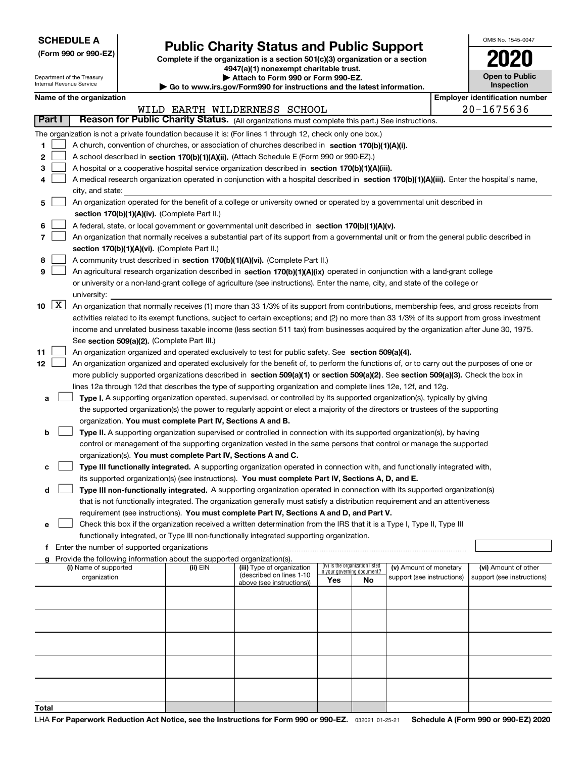| <b>SCHEDULE A</b> |  |
|-------------------|--|
|-------------------|--|

Department of the Treasury Internal Revenue Service

# Public Charity Status and Public Support

(Form 990 or 990-EZ) Complete if the organization is a section 501(c)(3) organization or a section  $4947(a)(1)$  nonexempt charitable trust.

| Attach to Form 990 or Form 990-EZ.

| Go to www.irs.gov/Form990 for instructions and the latest information.

| OMB No. 1545-0047                   |
|-------------------------------------|
| 020                                 |
| <b>Open to Public</b><br>Inspection |

|  | Name of the organization |
|--|--------------------------|
|--|--------------------------|

|                      |                                                | Name of the organization                                                                                                                     |          |                                                       |                             |                                 |                            |  | <b>Employer identification number</b> |
|----------------------|------------------------------------------------|----------------------------------------------------------------------------------------------------------------------------------------------|----------|-------------------------------------------------------|-----------------------------|---------------------------------|----------------------------|--|---------------------------------------|
|                      | $20 - 1675636$<br>WILD EARTH WILDERNESS SCHOOL |                                                                                                                                              |          |                                                       |                             |                                 |                            |  |                                       |
| Part I               |                                                | Reason for Public Charity Status. (All organizations must complete this part.) See instructions.                                             |          |                                                       |                             |                                 |                            |  |                                       |
|                      |                                                | The organization is not a private foundation because it is: (For lines 1 through 12, check only one box.)                                    |          |                                                       |                             |                                 |                            |  |                                       |
| 1.                   |                                                | A church, convention of churches, or association of churches described in section 170(b)(1)(A)(i).                                           |          |                                                       |                             |                                 |                            |  |                                       |
| 2                    |                                                | A school described in section 170(b)(1)(A)(ii). (Attach Schedule E (Form 990 or 990-EZ).)                                                    |          |                                                       |                             |                                 |                            |  |                                       |
| з                    |                                                | A hospital or a cooperative hospital service organization described in section 170(b)(1)(A)(iii).                                            |          |                                                       |                             |                                 |                            |  |                                       |
| 4                    |                                                | A medical research organization operated in conjunction with a hospital described in section 170(b)(1)(A)(iii). Enter the hospital's name,   |          |                                                       |                             |                                 |                            |  |                                       |
|                      |                                                | city, and state:                                                                                                                             |          |                                                       |                             |                                 |                            |  |                                       |
| 5                    |                                                | An organization operated for the benefit of a college or university owned or operated by a governmental unit described in                    |          |                                                       |                             |                                 |                            |  |                                       |
|                      |                                                | section 170(b)(1)(A)(iv). (Complete Part II.)                                                                                                |          |                                                       |                             |                                 |                            |  |                                       |
| 6                    |                                                | A federal, state, or local government or governmental unit described in section 170(b)(1)(A)(v).                                             |          |                                                       |                             |                                 |                            |  |                                       |
| 7                    |                                                | An organization that normally receives a substantial part of its support from a governmental unit or from the general public described in    |          |                                                       |                             |                                 |                            |  |                                       |
|                      |                                                | section 170(b)(1)(A)(vi). (Complete Part II.)                                                                                                |          |                                                       |                             |                                 |                            |  |                                       |
| 8                    |                                                | A community trust described in section 170(b)(1)(A)(vi). (Complete Part II.)                                                                 |          |                                                       |                             |                                 |                            |  |                                       |
| 9                    |                                                | An agricultural research organization described in section 170(b)(1)(A)(ix) operated in conjunction with a land-grant college                |          |                                                       |                             |                                 |                            |  |                                       |
|                      |                                                | or university or a non-land-grant college of agriculture (see instructions). Enter the name, city, and state of the college or               |          |                                                       |                             |                                 |                            |  |                                       |
|                      |                                                | university:                                                                                                                                  |          |                                                       |                             |                                 |                            |  |                                       |
| $10 \quad \boxed{X}$ |                                                | An organization that normally receives (1) more than 33 1/3% of its support from contributions, membership fees, and gross receipts from     |          |                                                       |                             |                                 |                            |  |                                       |
|                      |                                                | activities related to its exempt functions, subject to certain exceptions; and (2) no more than 33 1/3% of its support from gross investment |          |                                                       |                             |                                 |                            |  |                                       |
|                      |                                                | income and unrelated business taxable income (less section 511 tax) from businesses acquired by the organization after June 30, 1975.        |          |                                                       |                             |                                 |                            |  |                                       |
|                      |                                                | See section 509(a)(2). (Complete Part III.)                                                                                                  |          |                                                       |                             |                                 |                            |  |                                       |
| 11                   |                                                | An organization organized and operated exclusively to test for public safety. See section 509(a)(4).                                         |          |                                                       |                             |                                 |                            |  |                                       |
| 12                   |                                                | An organization organized and operated exclusively for the benefit of, to perform the functions of, or to carry out the purposes of one or   |          |                                                       |                             |                                 |                            |  |                                       |
|                      |                                                | more publicly supported organizations described in section 509(a)(1) or section 509(a)(2). See section 509(a)(3). Check the box in           |          |                                                       |                             |                                 |                            |  |                                       |
|                      |                                                | lines 12a through 12d that describes the type of supporting organization and complete lines 12e, 12f, and 12g.                               |          |                                                       |                             |                                 |                            |  |                                       |
| а                    |                                                | Type I. A supporting organization operated, supervised, or controlled by its supported organization(s), typically by giving                  |          |                                                       |                             |                                 |                            |  |                                       |
|                      |                                                | the supported organization(s) the power to regularly appoint or elect a majority of the directors or trustees of the supporting              |          |                                                       |                             |                                 |                            |  |                                       |
|                      |                                                | organization. You must complete Part IV, Sections A and B.                                                                                   |          |                                                       |                             |                                 |                            |  |                                       |
| b                    |                                                | Type II. A supporting organization supervised or controlled in connection with its supported organization(s), by having                      |          |                                                       |                             |                                 |                            |  |                                       |
|                      |                                                | control or management of the supporting organization vested in the same persons that control or manage the supported                         |          |                                                       |                             |                                 |                            |  |                                       |
|                      |                                                | organization(s). You must complete Part IV, Sections A and C.                                                                                |          |                                                       |                             |                                 |                            |  |                                       |
| с                    |                                                | Type III functionally integrated. A supporting organization operated in connection with, and functionally integrated with,                   |          |                                                       |                             |                                 |                            |  |                                       |
|                      |                                                | its supported organization(s) (see instructions). You must complete Part IV, Sections A, D, and E.                                           |          |                                                       |                             |                                 |                            |  |                                       |
| d                    |                                                | Type III non-functionally integrated. A supporting organization operated in connection with its supported organization(s)                    |          |                                                       |                             |                                 |                            |  |                                       |
|                      |                                                | that is not functionally integrated. The organization generally must satisfy a distribution requirement and an attentiveness                 |          |                                                       |                             |                                 |                            |  |                                       |
|                      |                                                | requirement (see instructions). You must complete Part IV, Sections A and D, and Part V.                                                     |          |                                                       |                             |                                 |                            |  |                                       |
|                      |                                                | Check this box if the organization received a written determination from the IRS that it is a Type I, Type II, Type III                      |          |                                                       |                             |                                 |                            |  |                                       |
|                      |                                                | functionally integrated, or Type III non-functionally integrated supporting organization.                                                    |          |                                                       |                             |                                 |                            |  |                                       |
|                      |                                                | f Enter the number of supported organizations                                                                                                |          |                                                       |                             |                                 |                            |  |                                       |
|                      |                                                | Provide the following information about the supported organization(s).                                                                       |          |                                                       |                             |                                 |                            |  |                                       |
|                      |                                                | (i) Name of supported                                                                                                                        | (ii) EIN | (iii) Type of organization                            | in your governing document? | (iv) Is the organization listed | (v) Amount of monetary     |  | (vi) Amount of other                  |
|                      |                                                | organization                                                                                                                                 |          | (described on lines 1-10<br>above (see instructions)) | Yes                         | No                              | support (see instructions) |  | support (see instructions)            |
|                      |                                                |                                                                                                                                              |          |                                                       |                             |                                 |                            |  |                                       |
|                      |                                                |                                                                                                                                              |          |                                                       |                             |                                 |                            |  |                                       |
|                      |                                                |                                                                                                                                              |          |                                                       |                             |                                 |                            |  |                                       |
|                      |                                                |                                                                                                                                              |          |                                                       |                             |                                 |                            |  |                                       |
|                      |                                                |                                                                                                                                              |          |                                                       |                             |                                 |                            |  |                                       |
|                      |                                                |                                                                                                                                              |          |                                                       |                             |                                 |                            |  |                                       |
|                      |                                                |                                                                                                                                              |          |                                                       |                             |                                 |                            |  |                                       |
|                      |                                                |                                                                                                                                              |          |                                                       |                             |                                 |                            |  |                                       |
|                      |                                                |                                                                                                                                              |          |                                                       |                             |                                 |                            |  |                                       |
|                      |                                                |                                                                                                                                              |          |                                                       |                             |                                 |                            |  |                                       |
| Total                |                                                |                                                                                                                                              |          |                                                       |                             |                                 |                            |  |                                       |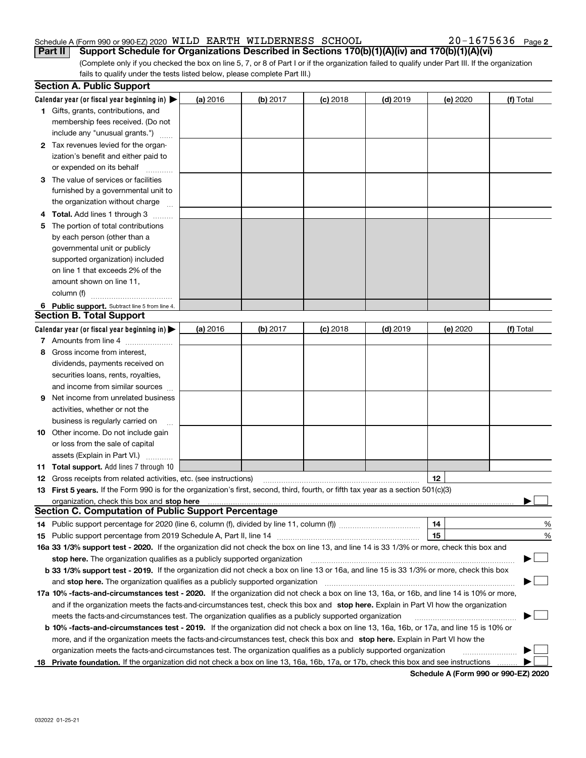#### Schedule A (Form 990 or 990-EZ) 2020 <code>WILD EARTH WILDERNESS</code>  ${\rm SCHOOL}$   $20-1675636$  <code>Page</code> Part II | Support Schedule for Organizations Described in Sections 170(b)(1)(A)(iv) and 170(b)(1)(A)(vi)

 $20 - 1675636$  Page 2

(Complete only if you checked the box on line 5, 7, or 8 of Part I or if the organization failed to qualify under Part III. If the organization fails to qualify under the tests listed below, please complete Part III.)

|    | <b>Section A. Public Support</b>                                                                                                               |          |            |            |            |          |           |
|----|------------------------------------------------------------------------------------------------------------------------------------------------|----------|------------|------------|------------|----------|-----------|
|    | Calendar year (or fiscal year beginning in) $\blacktriangleright$                                                                              | (a) 2016 | $(b)$ 2017 | $(c)$ 2018 | $(d)$ 2019 | (e) 2020 | (f) Total |
|    | <b>1</b> Gifts, grants, contributions, and                                                                                                     |          |            |            |            |          |           |
|    | membership fees received. (Do not                                                                                                              |          |            |            |            |          |           |
|    | include any "unusual grants.")                                                                                                                 |          |            |            |            |          |           |
|    | 2 Tax revenues levied for the organ-                                                                                                           |          |            |            |            |          |           |
|    | ization's benefit and either paid to                                                                                                           |          |            |            |            |          |           |
|    | or expended on its behalf                                                                                                                      |          |            |            |            |          |           |
|    | 3 The value of services or facilities                                                                                                          |          |            |            |            |          |           |
|    | furnished by a governmental unit to                                                                                                            |          |            |            |            |          |           |
|    | the organization without charge                                                                                                                |          |            |            |            |          |           |
|    | Total. Add lines 1 through 3                                                                                                                   |          |            |            |            |          |           |
| 5  | The portion of total contributions                                                                                                             |          |            |            |            |          |           |
|    | by each person (other than a                                                                                                                   |          |            |            |            |          |           |
|    | governmental unit or publicly                                                                                                                  |          |            |            |            |          |           |
|    | supported organization) included                                                                                                               |          |            |            |            |          |           |
|    | on line 1 that exceeds 2% of the                                                                                                               |          |            |            |            |          |           |
|    | amount shown on line 11,                                                                                                                       |          |            |            |            |          |           |
|    | column (f)                                                                                                                                     |          |            |            |            |          |           |
|    | 6 Public support. Subtract line 5 from line 4.                                                                                                 |          |            |            |            |          |           |
|    | <b>Section B. Total Support</b>                                                                                                                |          |            |            |            |          |           |
|    | Calendar year (or fiscal year beginning in) $\blacktriangleright$                                                                              | (a) 2016 | $(b)$ 2017 | $(c)$ 2018 | $(d)$ 2019 | (e) 2020 | (f) Total |
|    | 7 Amounts from line 4                                                                                                                          |          |            |            |            |          |           |
| 8  | Gross income from interest,                                                                                                                    |          |            |            |            |          |           |
|    | dividends, payments received on                                                                                                                |          |            |            |            |          |           |
|    | securities loans, rents, royalties,                                                                                                            |          |            |            |            |          |           |
|    | and income from similar sources                                                                                                                |          |            |            |            |          |           |
| 9  | Net income from unrelated business                                                                                                             |          |            |            |            |          |           |
|    | activities, whether or not the                                                                                                                 |          |            |            |            |          |           |
|    | business is regularly carried on                                                                                                               |          |            |            |            |          |           |
|    | <b>10</b> Other income. Do not include gain                                                                                                    |          |            |            |            |          |           |
|    | or loss from the sale of capital                                                                                                               |          |            |            |            |          |           |
|    | assets (Explain in Part VI.)                                                                                                                   |          |            |            |            |          |           |
|    | 11 Total support. Add lines 7 through 10                                                                                                       |          |            |            |            |          |           |
|    | 12 Gross receipts from related activities, etc. (see instructions)                                                                             |          |            |            |            | 12       |           |
|    | 13 First 5 years. If the Form 990 is for the organization's first, second, third, fourth, or fifth tax year as a section 501(c)(3)             |          |            |            |            |          |           |
|    |                                                                                                                                                |          |            |            |            |          |           |
|    | <b>Section C. Computation of Public Support Percentage</b>                                                                                     |          |            |            |            |          |           |
|    | 14 Public support percentage for 2020 (line 6, column (f), divided by line 11, column (f) <i>mummumumum</i>                                    |          |            |            |            | 14       | %         |
|    | 15 Public support percentage from 2019 Schedule A, Part II, line 14                                                                            |          |            |            |            | 15       | %         |
|    | 16a 33 1/3% support test - 2020. If the organization did not check the box on line 13, and line 14 is 33 1/3% or more, check this box and      |          |            |            |            |          |           |
|    | stop here. The organization qualifies as a publicly supported organization                                                                     |          |            |            |            |          |           |
|    | b 33 1/3% support test - 2019. If the organization did not check a box on line 13 or 16a, and line 15 is 33 1/3% or more, check this box       |          |            |            |            |          |           |
|    | and stop here. The organization qualifies as a publicly supported organization                                                                 |          |            |            |            |          |           |
|    | 17a 10% -facts-and-circumstances test - 2020. If the organization did not check a box on line 13, 16a, or 16b, and line 14 is 10% or more,     |          |            |            |            |          |           |
|    | and if the organization meets the facts-and-circumstances test, check this box and stop here. Explain in Part VI how the organization          |          |            |            |            |          |           |
|    | meets the facts-and-circumstances test. The organization qualifies as a publicly supported organization                                        |          |            |            |            |          |           |
|    | <b>b 10% -facts-and-circumstances test - 2019.</b> If the organization did not check a box on line 13, 16a, 16b, or 17a, and line 15 is 10% or |          |            |            |            |          |           |
|    | more, and if the organization meets the facts-and-circumstances test, check this box and stop here. Explain in Part VI how the                 |          |            |            |            |          |           |
|    | organization meets the facts-and-circumstances test. The organization qualifies as a publicly supported organization                           |          |            |            |            |          |           |
|    |                                                                                                                                                |          |            |            |            |          |           |
| 18 | Private foundation. If the organization did not check a box on line 13, 16a, 16b, 17a, or 17b, check this box and see instructions             |          |            |            |            |          |           |

Schedule A (Form 990 or 990-EZ) 2020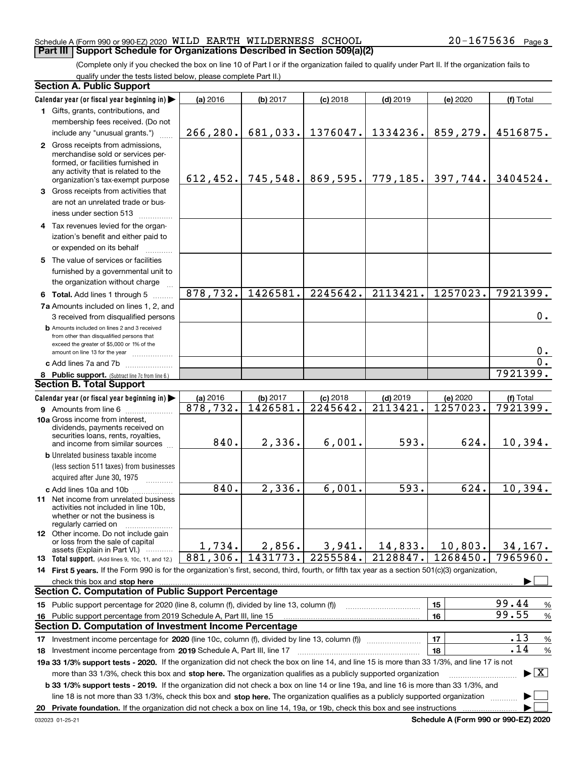#### Schedule A (Form 990 or 990-EZ) 2020 <code>WILD EARTH WILDERNESS</code>  ${\rm SCHOOL}$   $20-1675636$  <code>Page</code> **Part III | Support Schedule for Organizations Described in Section 509(a)(2)**

(Complete only if you checked the box on line 10 of Part I or if the organization failed to qualify under Part II. If the organization fails to qualify under the tests listed below, please complete Part II.)

|    | <b>Section A. Public Support</b>                                                                                                                                                                                                                          |           |           |            |                        |          |                                          |
|----|-----------------------------------------------------------------------------------------------------------------------------------------------------------------------------------------------------------------------------------------------------------|-----------|-----------|------------|------------------------|----------|------------------------------------------|
|    | Calendar year (or fiscal year beginning in)                                                                                                                                                                                                               | (a) 2016  | (b) 2017  | $(c)$ 2018 | $(d)$ 2019             | (e) 2020 | (f) Total                                |
|    | 1 Gifts, grants, contributions, and                                                                                                                                                                                                                       |           |           |            |                        |          |                                          |
|    | membership fees received. (Do not                                                                                                                                                                                                                         |           |           |            |                        |          |                                          |
|    | include any "unusual grants.")                                                                                                                                                                                                                            | 266, 280. | 681,033.  | 1376047.   | 1334236.               | 859,279. | 4516875.                                 |
|    | 2 Gross receipts from admissions,<br>merchandise sold or services per-<br>formed, or facilities furnished in<br>any activity that is related to the<br>organization's tax-exempt purpose                                                                  | 612, 452. | 745, 548. | 869,595.   | 779,185.               | 397,744. | 3404524.                                 |
|    | 3 Gross receipts from activities that                                                                                                                                                                                                                     |           |           |            |                        |          |                                          |
|    | are not an unrelated trade or bus-<br>iness under section 513                                                                                                                                                                                             |           |           |            |                        |          |                                          |
|    | 4 Tax revenues levied for the organ-                                                                                                                                                                                                                      |           |           |            |                        |          |                                          |
|    | ization's benefit and either paid to                                                                                                                                                                                                                      |           |           |            |                        |          |                                          |
|    | or expended on its behalf                                                                                                                                                                                                                                 |           |           |            |                        |          |                                          |
|    | 5 The value of services or facilities<br>furnished by a governmental unit to<br>the organization without charge                                                                                                                                           |           |           |            |                        |          |                                          |
|    | 6 Total. Add lines 1 through 5                                                                                                                                                                                                                            | 878,732.  | 1426581.  | 2245642.   | 2113421.               | 1257023. | 7921399.                                 |
|    | 7a Amounts included on lines 1, 2, and<br>3 received from disqualified persons                                                                                                                                                                            |           |           |            |                        |          | 0.                                       |
|    | <b>b</b> Amounts included on lines 2 and 3 received<br>from other than disqualified persons that<br>exceed the greater of \$5,000 or 1% of the<br>amount on line 13 for the year                                                                          |           |           |            |                        |          | 0.                                       |
|    | c Add lines 7a and 7b                                                                                                                                                                                                                                     |           |           |            |                        |          | $\mathbf 0$ .                            |
|    | 8 Public support. (Subtract line 7c from line 6.)                                                                                                                                                                                                         |           |           |            |                        |          | 7921399.                                 |
|    | <b>Section B. Total Support</b>                                                                                                                                                                                                                           |           |           |            |                        |          |                                          |
|    | Calendar year (or fiscal year beginning in)                                                                                                                                                                                                               | (a) 2016  | (b) 2017  | $(c)$ 2018 | $(d)$ 2019             | (e) 2020 | (f) Total                                |
|    | 9 Amounts from line 6                                                                                                                                                                                                                                     | 878,732.  | 1426581.  | 2245642.   | 2113421                | 1257023. | 7921399.                                 |
|    | 10a Gross income from interest,<br>dividends, payments received on<br>securities loans, rents, royalties,<br>and income from similar sources                                                                                                              | 840.      | 2,336.    | 6,001.     | 593.                   | 624.     | 10,394.                                  |
|    | <b>b</b> Unrelated business taxable income                                                                                                                                                                                                                |           |           |            |                        |          |                                          |
|    | (less section 511 taxes) from businesses                                                                                                                                                                                                                  |           |           |            |                        |          |                                          |
|    | acquired after June 30, 1975                                                                                                                                                                                                                              |           |           |            |                        |          |                                          |
|    | c Add lines 10a and 10b<br>11 Net income from unrelated business<br>activities not included in line 10b,<br>whether or not the business is<br>regularly carried on                                                                                        | 840.      | 2,336.    | 6,001.     | 593.                   | 624.     | 10,394.                                  |
|    | <b>12</b> Other income. Do not include gain<br>or loss from the sale of capital<br>assets (Explain in Part VI.)                                                                                                                                           | 1,734.    | 2,856.    | 3,941.     | 14,833.                | 10,803.  | 34,167.                                  |
|    | <b>13</b> Total support. (Add lines 9, 10c, 11, and 12.)                                                                                                                                                                                                  | 881,306.  | 1431773.  | 2255584.   | $\overline{21}28847$ . | 1268450. | 7965960.                                 |
|    | 14 First 5 years. If the Form 990 is for the organization's first, second, third, fourth, or fifth tax year as a section 501(c)(3) organization,                                                                                                          |           |           |            |                        |          |                                          |
|    | check this box and stop here                                                                                                                                                                                                                              |           |           |            |                        |          |                                          |
|    | <b>Section C. Computation of Public Support Percentage</b>                                                                                                                                                                                                |           |           |            |                        |          |                                          |
|    | 15 Public support percentage for 2020 (line 8, column (f), divided by line 13, column (f))                                                                                                                                                                |           |           |            |                        | 15       | 99.44<br>%                               |
| 16 | Public support percentage from 2019 Schedule A, Part III, line 15                                                                                                                                                                                         |           |           |            |                        | 16       | 99.55<br>%                               |
|    | Section D. Computation of Investment Income Percentage                                                                                                                                                                                                    |           |           |            |                        |          |                                          |
|    |                                                                                                                                                                                                                                                           |           |           |            |                        | 17       | .13<br>%                                 |
|    | 18 Investment income percentage from 2019 Schedule A, Part III, line 17                                                                                                                                                                                   |           |           |            |                        | 18       | .14<br>$\%$                              |
|    | 19a 33 1/3% support tests - 2020. If the organization did not check the box on line 14, and line 15 is more than 33 1/3%, and line 17 is not                                                                                                              |           |           |            |                        |          | $\blacktriangleright$ $\boxed{\text{X}}$ |
|    | more than 33 1/3%, check this box and stop here. The organization qualifies as a publicly supported organization<br>b 33 1/3% support tests - 2019. If the organization did not check a box on line 14 or line 19a, and line 16 is more than 33 1/3%, and |           |           |            |                        |          |                                          |
|    | line 18 is not more than 33 1/3%, check this box and stop here. The organization qualifies as a publicly supported organization                                                                                                                           |           |           |            |                        |          |                                          |
| 20 | Private foundation. If the organization did not check a box on line 14, 19a, or 19b, check this box and see instructions                                                                                                                                  |           |           |            |                        |          |                                          |

Schedule A (Form 990 or 990-EZ) 2020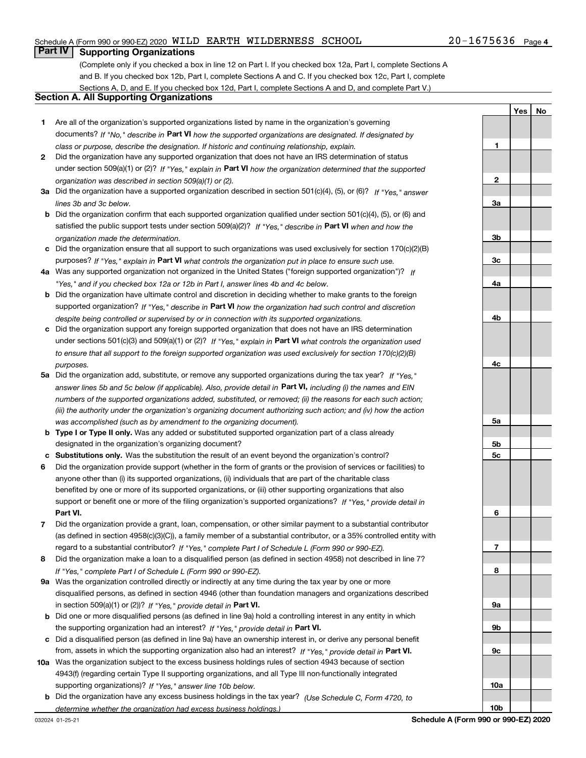#### Schedule A (Form 990 or 990-EZ) 2020 <code>WILD EARTH WILDERNESS</code>  ${\rm SCHOOL}$   $20-1675636$  <code>Page</code>

# **Part IV Supporting Organizations**

(Complete only if you checked a box in line 12 on Part I. If you checked box 12a, Part I, complete Sections A and B. If you checked box 12b, Part I, complete Sections A and C. If you checked box 12c, Part I, complete Sections A, D, and E. If you checked box 12d, Part I, complete Sections A and D, and complete Part V.)

#### Section A. All Supporting Organizations

- 1 Are all of the organization's supported organizations listed by name in the organization's governing documents? If "No," describe in Part VI how the supported organizations are designated. If designated by class or purpose, describe the designation. If historic and continuing relationship, explain.
- 2 Did the organization have any supported organization that does not have an IRS determination of status under section 509(a)(1) or (2)? If "Yes," explain in Part VI how the organization determined that the supported organization was described in section 509(a)(1) or (2).
- 3a Did the organization have a supported organization described in section 501(c)(4), (5), or (6)? If "Yes," answer lines 3b and 3c below.
- b Did the organization confirm that each supported organization qualified under section 501(c)(4), (5), or (6) and satisfied the public support tests under section 509(a)(2)? If "Yes," describe in Part VI when and how the organization made the determination.
- c Did the organization ensure that all support to such organizations was used exclusively for section 170(c)(2)(B) purposes? If "Yes," explain in Part VI what controls the organization put in place to ensure such use.
- 4a Was any supported organization not organized in the United States ("foreign supported organization")? If "Yes," and if you checked box 12a or 12b in Part I, answer lines 4b and 4c below.
- b Did the organization have ultimate control and discretion in deciding whether to make grants to the foreign supported organization? If "Yes," describe in Part VI how the organization had such control and discretion despite being controlled or supervised by or in connection with its supported organizations.
- c Did the organization support any foreign supported organization that does not have an IRS determination under sections 501(c)(3) and 509(a)(1) or (2)? If "Yes," explain in Part VI what controls the organization used to ensure that all support to the foreign supported organization was used exclusively for section 170(c)(2)(B) purposes.
- 5a Did the organization add, substitute, or remove any supported organizations during the tax year? If "Yes," answer lines 5b and 5c below (if applicable). Also, provide detail in **Part VI,** including (i) the names and EIN numbers of the supported organizations added, substituted, or removed; (ii) the reasons for each such action; (iii) the authority under the organization's organizing document authorizing such action; and (iv) how the action was accomplished (such as by amendment to the organizing document).
- **b Type I or Type II only.** Was any added or substituted supported organization part of a class already designated in the organization's organizing document?
- c Substitutions only. Was the substitution the result of an event beyond the organization's control?
- 6 Did the organization provide support (whether in the form of grants or the provision of services or facilities) to Part VI. support or benefit one or more of the filing organization's supported organizations? If "Yes," provide detail in anyone other than (i) its supported organizations, (ii) individuals that are part of the charitable class benefited by one or more of its supported organizations, or (iii) other supporting organizations that also
- 7 Did the organization provide a grant, loan, compensation, or other similar payment to a substantial contributor regard to a substantial contributor? If "Yes," complete Part I of Schedule L (Form 990 or 990-EZ). (as defined in section 4958(c)(3)(C)), a family member of a substantial contributor, or a 35% controlled entity with
- 8 Did the organization make a loan to a disqualified person (as defined in section 4958) not described in line 7? If "Yes," complete Part I of Schedule L (Form 990 or 990-EZ).
- **9a** Was the organization controlled directly or indirectly at any time during the tax year by one or more in section 509(a)(1) or (2))? If "Yes," provide detail in Part VI. disqualified persons, as defined in section 4946 (other than foundation managers and organizations described
- b Did one or more disqualified persons (as defined in line 9a) hold a controlling interest in any entity in which the supporting organization had an interest? If "Yes," provide detail in Part VI.
- c Did a disqualified person (as defined in line 9a) have an ownership interest in, or derive any personal benefit from, assets in which the supporting organization also had an interest? If "Yes," provide detail in Part VI.
- 10a Was the organization subject to the excess business holdings rules of section 4943 because of section supporting organizations)? If "Yes," answer line 10b below. 4943(f) (regarding certain Type II supporting organizations, and all Type III non-functionally integrated
	- **b** Did the organization have any excess business holdings in the tax year? (Use Schedule C, Form 4720, to determine whether the organization had excess business holdings.)

032024 01-25-21

Yes | No

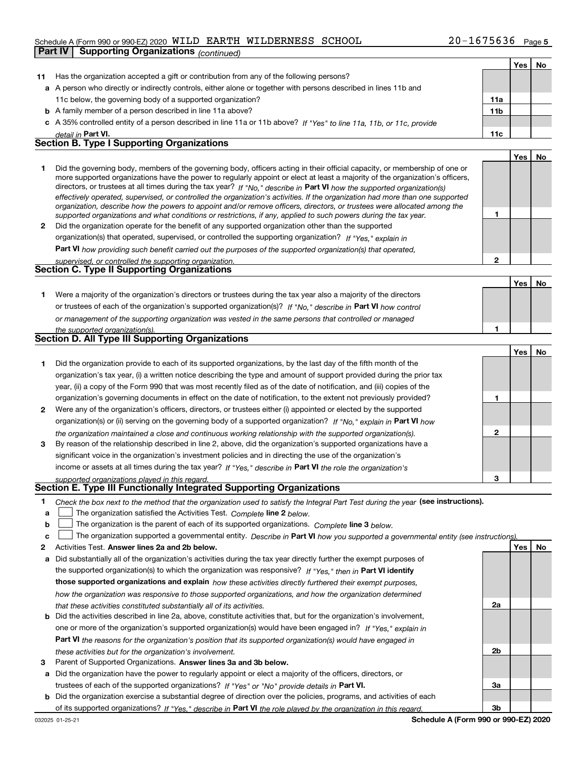#### Schedule A (Form 990 or 990-EZ) 2020 <code>WILD EARTH WILDERNESS</code>  ${\rm SCHOOL}$   $20-1675636$  <code>Page</code>

|    | <b>Supporting Organizations (continued)</b><br>Part IV                                                                                                                                                                                                    |                |            |     |
|----|-----------------------------------------------------------------------------------------------------------------------------------------------------------------------------------------------------------------------------------------------------------|----------------|------------|-----|
|    |                                                                                                                                                                                                                                                           |                | <b>Yes</b> | No  |
| 11 | Has the organization accepted a gift or contribution from any of the following persons?                                                                                                                                                                   |                |            |     |
|    | a A person who directly or indirectly controls, either alone or together with persons described in lines 11b and                                                                                                                                          |                |            |     |
|    | 11c below, the governing body of a supported organization?                                                                                                                                                                                                | 11a            |            |     |
|    | <b>b</b> A family member of a person described in line 11a above?                                                                                                                                                                                         | 11b            |            |     |
|    | c A 35% controlled entity of a person described in line 11a or 11b above? If "Yes" to line 11a, 11b, or 11c, provide                                                                                                                                      |                |            |     |
|    | detail in Part VI.                                                                                                                                                                                                                                        | 11c            |            |     |
|    | <b>Section B. Type I Supporting Organizations</b>                                                                                                                                                                                                         |                |            |     |
|    |                                                                                                                                                                                                                                                           |                | Yes        | No  |
| 1  | Did the governing body, members of the governing body, officers acting in their official capacity, or membership of one or                                                                                                                                |                |            |     |
|    | more supported organizations have the power to regularly appoint or elect at least a majority of the organization's officers,                                                                                                                             |                |            |     |
|    | directors, or trustees at all times during the tax year? If "No," describe in Part VI how the supported organization(s)<br>effectively operated, supervised, or controlled the organization's activities. If the organization had more than one supported |                |            |     |
|    | organization, describe how the powers to appoint and/or remove officers, directors, or trustees were allocated among the                                                                                                                                  |                |            |     |
|    | supported organizations and what conditions or restrictions, if any, applied to such powers during the tax year.                                                                                                                                          | 1              |            |     |
| 2  | Did the organization operate for the benefit of any supported organization other than the supported                                                                                                                                                       |                |            |     |
|    | organization(s) that operated, supervised, or controlled the supporting organization? If "Yes," explain in                                                                                                                                                |                |            |     |
|    | Part VI how providing such benefit carried out the purposes of the supported organization(s) that operated,                                                                                                                                               |                |            |     |
|    | supervised, or controlled the supporting organization.<br><b>Section C. Type II Supporting Organizations</b>                                                                                                                                              | $\overline{2}$ |            |     |
|    |                                                                                                                                                                                                                                                           |                |            |     |
|    |                                                                                                                                                                                                                                                           |                | Yes        | No. |
| 1  | Were a majority of the organization's directors or trustees during the tax year also a majority of the directors                                                                                                                                          |                |            |     |
|    | or trustees of each of the organization's supported organization(s)? If "No," describe in Part VI how control                                                                                                                                             |                |            |     |
|    | or management of the supporting organization was vested in the same persons that controlled or managed                                                                                                                                                    | 1              |            |     |
|    | the supported organization(s).<br>Section D. All Type III Supporting Organizations                                                                                                                                                                        |                |            |     |
|    |                                                                                                                                                                                                                                                           |                | Yes        | No  |
| 1. | Did the organization provide to each of its supported organizations, by the last day of the fifth month of the                                                                                                                                            |                |            |     |
|    | organization's tax year, (i) a written notice describing the type and amount of support provided during the prior tax                                                                                                                                     |                |            |     |
|    | year, (ii) a copy of the Form 990 that was most recently filed as of the date of notification, and (iii) copies of the                                                                                                                                    |                |            |     |
|    | organization's governing documents in effect on the date of notification, to the extent not previously provided?                                                                                                                                          | 1              |            |     |
| 2  | Were any of the organization's officers, directors, or trustees either (i) appointed or elected by the supported                                                                                                                                          |                |            |     |
|    | organization(s) or (ii) serving on the governing body of a supported organization? If "No," explain in Part VI how                                                                                                                                        |                |            |     |
|    | the organization maintained a close and continuous working relationship with the supported organization(s).                                                                                                                                               | $\mathbf{2}$   |            |     |
| 3  | By reason of the relationship described in line 2, above, did the organization's supported organizations have a                                                                                                                                           |                |            |     |
|    | significant voice in the organization's investment policies and in directing the use of the organization's                                                                                                                                                |                |            |     |
|    | income or assets at all times during the tax year? If "Yes," describe in Part VI the role the organization's                                                                                                                                              |                |            |     |
|    | supported organizations played in this regard.                                                                                                                                                                                                            | 3              |            |     |
|    | Section E. Type III Functionally Integrated Supporting Organizations                                                                                                                                                                                      |                |            |     |
| 1  | Check the box next to the method that the organization used to satisfy the Integral Part Test during the year (see instructions).                                                                                                                         |                |            |     |
| a  | The organization satisfied the Activities Test. Complete line 2 below.                                                                                                                                                                                    |                |            |     |
| b  | The organization is the parent of each of its supported organizations. Complete line 3 below.                                                                                                                                                             |                |            |     |
| c  | The organization supported a governmental entity. Describe in Part VI how you supported a governmental entity (see instructions)                                                                                                                          |                |            |     |

- 2 Activities Test. Answer lines 2a and 2b below. No recorded the control of the control of the control of the control of the control of the control of the control of the control of the control of the control of the contro
- a Did substantially all of the organization's activities during the tax year directly further the exempt purposes of b Did the activities described in line 2a, above, constitute activities that, but for the organization's involvement, the supported organization(s) to which the organization was responsive? If "Yes," then in Part VI identify those supported organizations and explain how these activities directly furthered their exempt purposes, how the organization was responsive to those supported organizations, and how the organization determined that these activities constituted substantially all of its activities.
- Part VI the reasons for the organization's position that its supported organization(s) would have engaged in one or more of the organization's supported organization(s) would have been engaged in? If "Yes," explain in these activities but for the organization's involvement.
- 3 Parent of Supported Organizations. Answer lines 3a and 3b below.
- a Did the organization have the power to regularly appoint or elect a majority of the officers, directors, or trustees of each of the supported organizations? If "Yes" or "No" provide details in Part VI.
- b Did the organization exercise a substantial degree of direction over the policies, programs, and activities of each of its supported organizations? If "Yes," describe in Part VI the role played by the organization in this regard.

2a

2b

3a

3b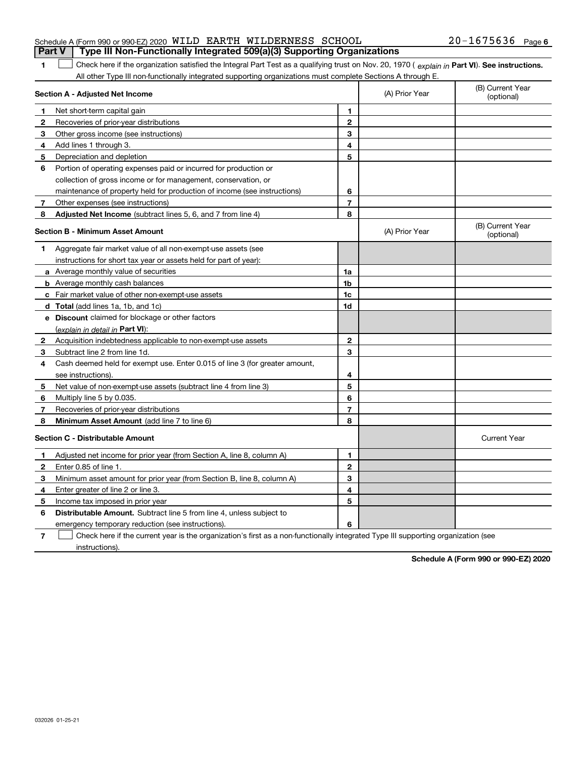| Schedule A (Form 990 or 990-EZ) 2020 WILD EARTH WILDERNESS SCHOOL                |  | $20 - 1675636$ Page 6 |  |
|----------------------------------------------------------------------------------|--|-----------------------|--|
| Part V   Type III Non-Functionally Integrated 509(a)(3) Supporting Organizations |  |                       |  |

#### Check here if the organization satisfied the Integral Part Test as a qualifying trust on Nov. 20, 1970 ( explain in Part VI). See instructions. All other Type III non-functionally integrated supporting organizations must complete Sections A through E.  $\begin{array}{c} \hline \end{array}$

|              | Section A - Adjusted Net Income                                             |                | (A) Prior Year | (B) Current Year<br>(optional) |
|--------------|-----------------------------------------------------------------------------|----------------|----------------|--------------------------------|
| 1            | Net short-term capital gain                                                 | 1              |                |                                |
| 2            | Recoveries of prior-year distributions                                      | $\mathbf{2}$   |                |                                |
| 3            | Other gross income (see instructions)                                       | 3              |                |                                |
| 4            | Add lines 1 through 3.                                                      | 4              |                |                                |
| 5            | Depreciation and depletion                                                  | 5              |                |                                |
| 6            | Portion of operating expenses paid or incurred for production or            |                |                |                                |
|              | collection of gross income or for management, conservation, or              |                |                |                                |
|              | maintenance of property held for production of income (see instructions)    | 6              |                |                                |
| 7            | Other expenses (see instructions)                                           | $\overline{7}$ |                |                                |
| 8            | <b>Adjusted Net Income</b> (subtract lines 5, 6, and 7 from line 4)         | 8              |                |                                |
|              | <b>Section B - Minimum Asset Amount</b>                                     |                | (A) Prior Year | (B) Current Year<br>(optional) |
| 1            | Aggregate fair market value of all non-exempt-use assets (see               |                |                |                                |
|              | instructions for short tax year or assets held for part of year):           |                |                |                                |
|              | a Average monthly value of securities                                       | 1a             |                |                                |
|              | <b>b</b> Average monthly cash balances                                      | 1 <sub>b</sub> |                |                                |
|              | c Fair market value of other non-exempt-use assets                          | 1c             |                |                                |
|              | <b>d</b> Total (add lines 1a, 1b, and 1c)                                   | 1d             |                |                                |
|              | e Discount claimed for blockage or other factors                            |                |                |                                |
|              | (explain in detail in Part VI):                                             |                |                |                                |
| $\mathbf{2}$ | Acquisition indebtedness applicable to non-exempt-use assets                | $\mathbf{2}$   |                |                                |
| 3            | Subtract line 2 from line 1d.                                               | 3              |                |                                |
| 4            | Cash deemed held for exempt use. Enter 0.015 of line 3 (for greater amount, |                |                |                                |
|              | see instructions).                                                          | 4              |                |                                |
| 5            | Net value of non-exempt-use assets (subtract line 4 from line 3)            | 5              |                |                                |
| 6            | Multiply line 5 by 0.035.                                                   | 6              |                |                                |
| $\mathbf{7}$ | Recoveries of prior-year distributions                                      | $\overline{7}$ |                |                                |
| 8            | <b>Minimum Asset Amount</b> (add line 7 to line 6)                          | 8              |                |                                |
|              | <b>Section C - Distributable Amount</b>                                     |                |                | <b>Current Year</b>            |
| 1            | Adjusted net income for prior year (from Section A, line 8, column A)       | 1.             |                |                                |
| 2            | Enter 0.85 of line 1.                                                       | $\mathbf{2}$   |                |                                |
| з            | Minimum asset amount for prior year (from Section B, line 8, column A)      | 3              |                |                                |
| 4            | Enter greater of line 2 or line 3.                                          | 4              |                |                                |
| 5            | Income tax imposed in prior year                                            | 5              |                |                                |
| 6            | Distributable Amount. Subtract line 5 from line 4, unless subject to        |                |                |                                |
|              | emergency temporary reduction (see instructions).                           | 6              |                |                                |

7 Check here if the current year is the organization's first as a non-functionally integrated Type III supporting organization (see instructions).

Schedule A (Form 990 or 990-EZ) 2020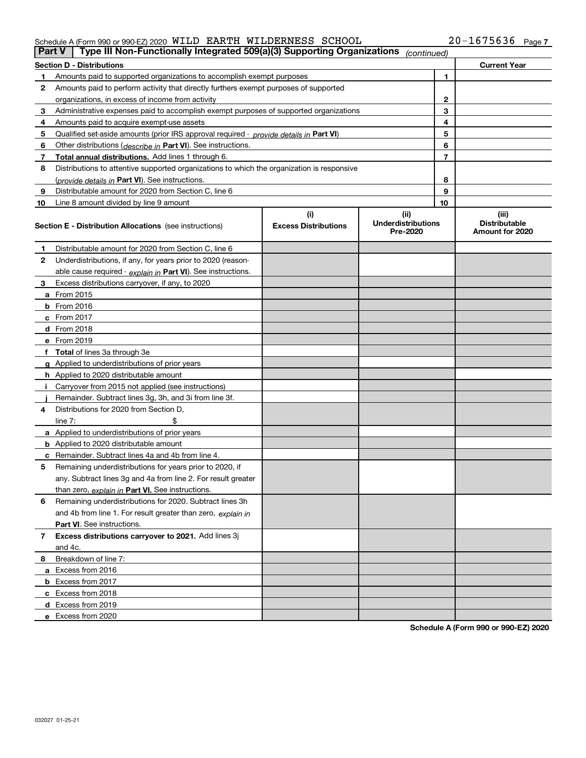#### Schedule A (Form 990 or 990-EZ) 2020 <code>WILD EARTH WILDERNESS</code>  ${\rm SCHOOL}$   $20-1675636$  <code>Page</code>

| <b>Part V</b> | Type III Non-Functionally Integrated 509(a)(3) Supporting Organizations                    |                             | (continued)                           |                |                                         |
|---------------|--------------------------------------------------------------------------------------------|-----------------------------|---------------------------------------|----------------|-----------------------------------------|
|               | Section D - Distributions                                                                  |                             |                                       |                | <b>Current Year</b>                     |
|               | Amounts paid to supported organizations to accomplish exempt purposes                      |                             |                                       | 1              |                                         |
| 2             | Amounts paid to perform activity that directly furthers exempt purposes of supported       |                             |                                       |                |                                         |
|               | organizations, in excess of income from activity                                           |                             | $\mathbf{2}$                          |                |                                         |
| 3             | Administrative expenses paid to accomplish exempt purposes of supported organizations      |                             |                                       | 3              |                                         |
| 4             | Amounts paid to acquire exempt-use assets                                                  |                             | 4                                     |                |                                         |
| 5             | Qualified set-aside amounts (prior IRS approval required - provide details in Part VI)     |                             | 5                                     |                |                                         |
| 6             | Other distributions ( <i>describe in</i> Part VI). See instructions.                       |                             |                                       | 6              |                                         |
| 7             | Total annual distributions. Add lines 1 through 6.                                         |                             |                                       | $\overline{7}$ |                                         |
| 8             | Distributions to attentive supported organizations to which the organization is responsive |                             |                                       |                |                                         |
|               | (provide details in <b>Part VI</b> ). See instructions.                                    |                             |                                       | 8              |                                         |
| 9             | Distributable amount for 2020 from Section C, line 6                                       |                             |                                       | 9              |                                         |
| 10            | Line 8 amount divided by line 9 amount                                                     |                             |                                       | 10             |                                         |
|               |                                                                                            | (i)                         | (iii)                                 |                | (iii)                                   |
|               | Section E - Distribution Allocations (see instructions)                                    | <b>Excess Distributions</b> | <b>Underdistributions</b><br>Pre-2020 |                | <b>Distributable</b><br>Amount for 2020 |
| 1             | Distributable amount for 2020 from Section C, line 6                                       |                             |                                       |                |                                         |
| 2             | Underdistributions, if any, for years prior to 2020 (reason-                               |                             |                                       |                |                                         |
|               | able cause required - explain in Part VI). See instructions.                               |                             |                                       |                |                                         |
| з             | Excess distributions carryover, if any, to 2020                                            |                             |                                       |                |                                         |
|               | <b>a</b> From 2015                                                                         |                             |                                       |                |                                         |
|               | <b>b</b> From $2016$                                                                       |                             |                                       |                |                                         |
|               | c From 2017                                                                                |                             |                                       |                |                                         |
|               | <b>d</b> From 2018                                                                         |                             |                                       |                |                                         |
|               | e From 2019                                                                                |                             |                                       |                |                                         |
|               | <b>Total</b> of lines 3a through 3e                                                        |                             |                                       |                |                                         |
|               | <b>g</b> Applied to underdistributions of prior years                                      |                             |                                       |                |                                         |
|               | <b>h</b> Applied to 2020 distributable amount                                              |                             |                                       |                |                                         |
|               | Carryover from 2015 not applied (see instructions)                                         |                             |                                       |                |                                         |
|               | Remainder. Subtract lines 3g, 3h, and 3i from line 3f.                                     |                             |                                       |                |                                         |
| 4             | Distributions for 2020 from Section D,                                                     |                             |                                       |                |                                         |
|               | line $7:$                                                                                  |                             |                                       |                |                                         |
|               | <b>a</b> Applied to underdistributions of prior years                                      |                             |                                       |                |                                         |
|               | <b>b</b> Applied to 2020 distributable amount                                              |                             |                                       |                |                                         |
|               | Remainder. Subtract lines 4a and 4b from line 4.                                           |                             |                                       |                |                                         |
| 5             | Remaining underdistributions for years prior to 2020, if                                   |                             |                                       |                |                                         |
|               | any. Subtract lines 3g and 4a from line 2. For result greater                              |                             |                                       |                |                                         |
|               | than zero, explain in Part VI. See instructions.                                           |                             |                                       |                |                                         |
| 6             | Remaining underdistributions for 2020. Subtract lines 3h                                   |                             |                                       |                |                                         |
|               | and 4b from line 1. For result greater than zero, explain in                               |                             |                                       |                |                                         |
|               | Part VI. See instructions.                                                                 |                             |                                       |                |                                         |
| 7             | Excess distributions carryover to 2021. Add lines 3j                                       |                             |                                       |                |                                         |
|               | and 4c.                                                                                    |                             |                                       |                |                                         |
| 8             | Breakdown of line 7:                                                                       |                             |                                       |                |                                         |
|               | a Excess from 2016                                                                         |                             |                                       |                |                                         |
|               |                                                                                            |                             |                                       |                |                                         |
|               | <b>b</b> Excess from 2017                                                                  |                             |                                       |                |                                         |
|               | c Excess from 2018                                                                         |                             |                                       |                |                                         |
|               | d Excess from 2019<br>e Excess from 2020                                                   |                             |                                       |                |                                         |
|               |                                                                                            |                             |                                       |                |                                         |

Schedule A (Form 990 or 990-EZ) 2020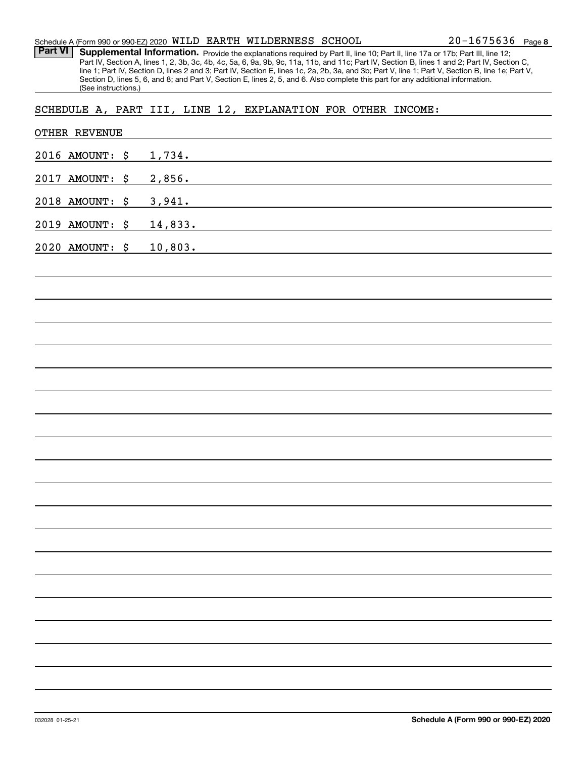Part VI | Supplemental Information. Provide the explanations required by Part II, line 10; Part II, line 17a or 17b; Part III, line 12; Part IV, Section A, lines 1, 2, 3b, 3c, 4b, 4c, 5a, 6, 9a, 9b, 9c, 11a, 11b, and 11c; Part IV, Section B, lines 1 and 2; Part IV, Section C, line 1; Part IV, Section D, lines 2 and 3; Part IV, Section E, lines 1c, 2a, 2b, 3a, and 3b; Part V, line 1; Part V, Section B, line 1e; Part V, Section D, lines 5, 6, and 8; and Part V, Section E, lines 2, 5, and 6. Also complete this part for any additional information. (See instructions.)

## SCHEDULE A, PART III, LINE 12, EXPLANATION FOR OTHER INCOME:

|      | OTHER REVENUE   |    |                                                                                                                                 |  |  |
|------|-----------------|----|---------------------------------------------------------------------------------------------------------------------------------|--|--|
|      | 2016 AMOUNT: \$ |    | 1,734.                                                                                                                          |  |  |
| 2017 | AMOUNT:         | \$ | 2,856.<br><u> 1980 - Johann Barn, amerikansk politiker (d. 1980)</u>                                                            |  |  |
|      | 2018 AMOUNT: \$ |    | 3,941.<br><u> 1989 - Johann Stein, marwolaethau a bhann an t-Albann an t-Albann an t-Albann an t-Albann an t-Albann an t-Al</u> |  |  |
|      | 2019 AMOUNT: \$ |    | 14,833.<br><u> 1989 - Johann Stoff, amerikansk politiker (d. 1989)</u>                                                          |  |  |
|      | 2020 AMOUNT: \$ |    | 10,803.                                                                                                                         |  |  |
|      |                 |    |                                                                                                                                 |  |  |
|      |                 |    |                                                                                                                                 |  |  |
|      |                 |    |                                                                                                                                 |  |  |
|      |                 |    |                                                                                                                                 |  |  |
|      |                 |    |                                                                                                                                 |  |  |
|      |                 |    |                                                                                                                                 |  |  |
|      |                 |    |                                                                                                                                 |  |  |
|      |                 |    |                                                                                                                                 |  |  |
|      |                 |    |                                                                                                                                 |  |  |
|      |                 |    |                                                                                                                                 |  |  |
|      |                 |    |                                                                                                                                 |  |  |
|      |                 |    |                                                                                                                                 |  |  |
|      |                 |    |                                                                                                                                 |  |  |
|      |                 |    |                                                                                                                                 |  |  |
|      |                 |    |                                                                                                                                 |  |  |
|      |                 |    |                                                                                                                                 |  |  |
|      |                 |    |                                                                                                                                 |  |  |
|      |                 |    |                                                                                                                                 |  |  |
|      |                 |    |                                                                                                                                 |  |  |
|      |                 |    |                                                                                                                                 |  |  |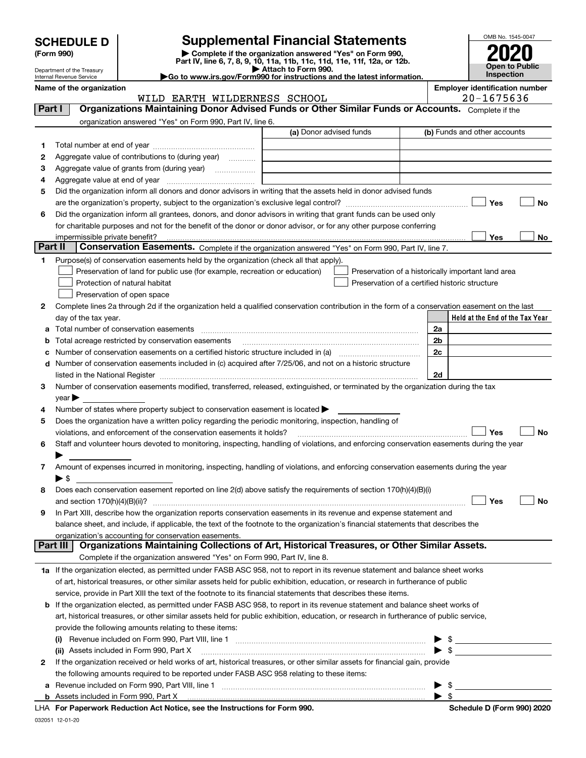| <b>SCHEDULE D</b> |  |
|-------------------|--|
|-------------------|--|

| (Form 990) |  |
|------------|--|
|------------|--|

032051 12-01-20

(Form 990) | Complete if the organization answered "Yes" on Form 990, Part IV, line 6, 7, 8, 9, 10, 11a, 11b, 11c, 11d, 11e, 11f, 12a, or 12b. SCHEDULE D Supplemental Financial Statements<br>
Form 990) Somplete if the organization answered "Yes" on Form 990,<br>
Part IV, line 6, 7, 8, 9, 10, 11a, 11b, 11c, 11d, 11e, 11f, 12a, or 12b.



Department of the Treasury Internal Revenue Service Name of the organization **Employer identification** number

▶ Attach to Form 990.<br>▶ Go to www.irs.gov/Form990 for instructions and the latest information.

|                | WILD EARTH WILDERNESS SCHOOL                                                                                                                   |                         | 20-1675636                                     |                                                    |  |  |
|----------------|------------------------------------------------------------------------------------------------------------------------------------------------|-------------------------|------------------------------------------------|----------------------------------------------------|--|--|
| Part I         | Organizations Maintaining Donor Advised Funds or Other Similar Funds or Accounts. Complete if the                                              |                         |                                                |                                                    |  |  |
|                | organization answered "Yes" on Form 990, Part IV, line 6.                                                                                      |                         |                                                |                                                    |  |  |
|                |                                                                                                                                                | (a) Donor advised funds |                                                | (b) Funds and other accounts                       |  |  |
| 1.             |                                                                                                                                                |                         |                                                |                                                    |  |  |
| 2              | Aggregate value of contributions to (during year)                                                                                              |                         |                                                |                                                    |  |  |
| з              |                                                                                                                                                |                         |                                                |                                                    |  |  |
| 4              |                                                                                                                                                |                         |                                                |                                                    |  |  |
| 5              | Did the organization inform all donors and donor advisors in writing that the assets held in donor advised funds                               |                         |                                                |                                                    |  |  |
|                |                                                                                                                                                |                         |                                                | Yes<br>No                                          |  |  |
| 6              | Did the organization inform all grantees, donors, and donor advisors in writing that grant funds can be used only                              |                         |                                                |                                                    |  |  |
|                | for charitable purposes and not for the benefit of the donor or donor advisor, or for any other purpose conferring                             |                         |                                                |                                                    |  |  |
|                | impermissible private benefit?                                                                                                                 |                         |                                                | Yes<br>No                                          |  |  |
| <b>Part II</b> | Conservation Easements. Complete if the organization answered "Yes" on Form 990, Part IV, line 7.                                              |                         |                                                |                                                    |  |  |
|                |                                                                                                                                                |                         |                                                |                                                    |  |  |
| 1              | Purpose(s) of conservation easements held by the organization (check all that apply).                                                          |                         |                                                |                                                    |  |  |
|                | Preservation of land for public use (for example, recreation or education)                                                                     |                         |                                                | Preservation of a historically important land area |  |  |
|                | Protection of natural habitat                                                                                                                  |                         | Preservation of a certified historic structure |                                                    |  |  |
|                | Preservation of open space                                                                                                                     |                         |                                                |                                                    |  |  |
| 2              | Complete lines 2a through 2d if the organization held a qualified conservation contribution in the form of a conservation easement on the last |                         |                                                |                                                    |  |  |
|                | day of the tax year.                                                                                                                           |                         |                                                | Held at the End of the Tax Year                    |  |  |
| a              |                                                                                                                                                |                         | 2a                                             |                                                    |  |  |
| b              | Total acreage restricted by conservation easements                                                                                             |                         | 2b                                             |                                                    |  |  |
| c              | Number of conservation easements on a certified historic structure included in (a) manufacture included in (a)                                 |                         | 2c                                             |                                                    |  |  |
| d              | Number of conservation easements included in (c) acquired after 7/25/06, and not on a historic structure                                       |                         |                                                |                                                    |  |  |
|                |                                                                                                                                                |                         | 2d                                             |                                                    |  |  |
| 3.             | Number of conservation easements modified, transferred, released, extinguished, or terminated by the organization during the tax               |                         |                                                |                                                    |  |  |
|                | vear                                                                                                                                           |                         |                                                |                                                    |  |  |
| 4              | Number of states where property subject to conservation easement is located $\blacktriangleright$                                              |                         |                                                |                                                    |  |  |
| 5              | Does the organization have a written policy regarding the periodic monitoring, inspection, handling of                                         |                         |                                                |                                                    |  |  |
|                | violations, and enforcement of the conservation easements it holds?                                                                            |                         |                                                | Yes<br>No                                          |  |  |
| 6              | Staff and volunteer hours devoted to monitoring, inspecting, handling of violations, and enforcing conservation easements during the year      |                         |                                                |                                                    |  |  |
|                |                                                                                                                                                |                         |                                                |                                                    |  |  |
| 7              | Amount of expenses incurred in monitoring, inspecting, handling of violations, and enforcing conservation easements during the year            |                         |                                                |                                                    |  |  |
|                | $\blacktriangleright$ s                                                                                                                        |                         |                                                |                                                    |  |  |
| 8              | Does each conservation easement reported on line 2(d) above satisfy the requirements of section 170(h)(4)(B)(i)                                |                         |                                                |                                                    |  |  |
|                |                                                                                                                                                |                         |                                                | Yes<br>No                                          |  |  |
| 9              | In Part XIII, describe how the organization reports conservation easements in its revenue and expense statement and                            |                         |                                                |                                                    |  |  |
|                | balance sheet, and include, if applicable, the text of the footnote to the organization's financial statements that describes the              |                         |                                                |                                                    |  |  |
|                | organization's accounting for conservation easements.                                                                                          |                         |                                                |                                                    |  |  |
|                | Organizations Maintaining Collections of Art, Historical Treasures, or Other Similar Assets.<br>Part III                                       |                         |                                                |                                                    |  |  |
|                | Complete if the organization answered "Yes" on Form 990, Part IV, line 8.                                                                      |                         |                                                |                                                    |  |  |
|                | 1a If the organization elected, as permitted under FASB ASC 958, not to report in its revenue statement and balance sheet works                |                         |                                                |                                                    |  |  |
|                | of art, historical treasures, or other similar assets held for public exhibition, education, or research in furtherance of public              |                         |                                                |                                                    |  |  |
|                | service, provide in Part XIII the text of the footnote to its financial statements that describes these items.                                 |                         |                                                |                                                    |  |  |
| b              | If the organization elected, as permitted under FASB ASC 958, to report in its revenue statement and balance sheet works of                    |                         |                                                |                                                    |  |  |
|                | art, historical treasures, or other similar assets held for public exhibition, education, or research in furtherance of public service,        |                         |                                                |                                                    |  |  |
|                | provide the following amounts relating to these items:                                                                                         |                         |                                                |                                                    |  |  |
|                |                                                                                                                                                |                         |                                                | $\frac{1}{2}$                                      |  |  |
|                | (ii) Assets included in Form 990, Part X                                                                                                       |                         |                                                | $\triangleright$ \$                                |  |  |
| 2              | If the organization received or held works of art, historical treasures, or other similar assets for financial gain, provide                   |                         |                                                |                                                    |  |  |
|                | the following amounts required to be reported under FASB ASC 958 relating to these items:                                                      |                         |                                                |                                                    |  |  |
| а              |                                                                                                                                                |                         |                                                | $\frac{1}{2}$                                      |  |  |
|                |                                                                                                                                                |                         | $\blacktriangleright$ s                        |                                                    |  |  |
|                | LHA For Paperwork Reduction Act Notice, see the Instructions for Form 990.                                                                     |                         |                                                | Schedule D (Form 990) 2020                         |  |  |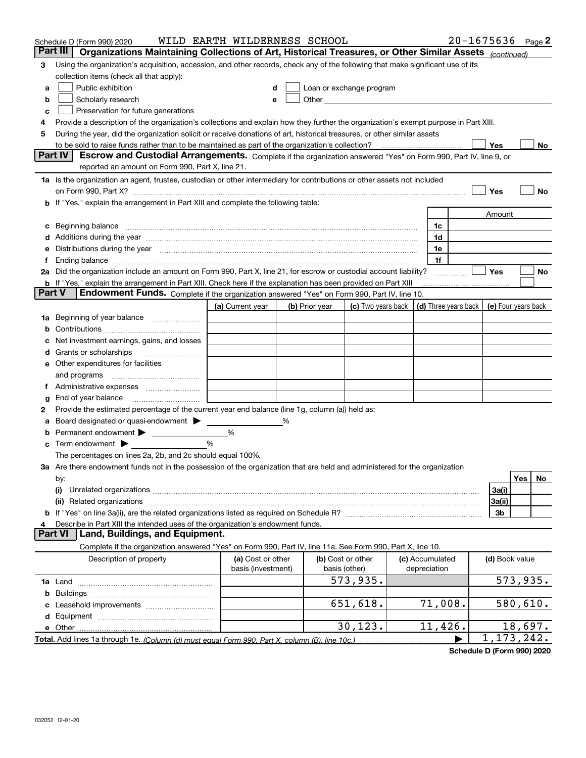|               | Schedule D (Form 990) 2020                                                                                                                                                                                                           | WILD EARTH WILDERNESS SCHOOL |   |                |                                                   |                      | $20 - 1675636$ Page 2 |                          |          |    |
|---------------|--------------------------------------------------------------------------------------------------------------------------------------------------------------------------------------------------------------------------------------|------------------------------|---|----------------|---------------------------------------------------|----------------------|-----------------------|--------------------------|----------|----|
|               | Part III<br>Organizations Maintaining Collections of Art, Historical Treasures, or Other Similar Assets (continued)                                                                                                                  |                              |   |                |                                                   |                      |                       |                          |          |    |
| 3             | Using the organization's acquisition, accession, and other records, check any of the following that make significant use of its                                                                                                      |                              |   |                |                                                   |                      |                       |                          |          |    |
|               | collection items (check all that apply):                                                                                                                                                                                             |                              |   |                |                                                   |                      |                       |                          |          |    |
| a             | Public exhibition                                                                                                                                                                                                                    | d                            |   |                | Loan or exchange program                          |                      |                       |                          |          |    |
| b             | Scholarly research                                                                                                                                                                                                                   | e                            |   |                | Other <u>with the contract of the contract of</u> |                      |                       |                          |          |    |
| c             | Preservation for future generations                                                                                                                                                                                                  |                              |   |                |                                                   |                      |                       |                          |          |    |
| 4             | Provide a description of the organization's collections and explain how they further the organization's exempt purpose in Part XIII.                                                                                                 |                              |   |                |                                                   |                      |                       |                          |          |    |
| 5             | During the year, did the organization solicit or receive donations of art, historical treasures, or other similar assets                                                                                                             |                              |   |                |                                                   |                      |                       |                          |          |    |
|               | to be sold to raise funds rather than to be maintained as part of the organization's collection?                                                                                                                                     |                              |   |                |                                                   |                      |                       | Yes                      |          | No |
|               | <b>Part IV</b><br>Escrow and Custodial Arrangements. Complete if the organization answered "Yes" on Form 990, Part IV, line 9, or                                                                                                    |                              |   |                |                                                   |                      |                       |                          |          |    |
|               | reported an amount on Form 990, Part X, line 21.                                                                                                                                                                                     |                              |   |                |                                                   |                      |                       |                          |          |    |
|               | 1a Is the organization an agent, trustee, custodian or other intermediary for contributions or other assets not included                                                                                                             |                              |   |                |                                                   |                      |                       |                          |          |    |
|               | on Form 990, Part X? [11] matter contracts and contracts and contracts are contracted as a function of the set of the set of the set of the set of the set of the set of the set of the set of the set of the set of the set o       |                              |   |                |                                                   |                      |                       | Yes                      |          | No |
| b             | If "Yes," explain the arrangement in Part XIII and complete the following table:                                                                                                                                                     |                              |   |                |                                                   |                      |                       |                          |          |    |
|               |                                                                                                                                                                                                                                      |                              |   |                |                                                   |                      |                       | Amount                   |          |    |
| c             | Beginning balance <b>contract to the contract of the contract of the contract of the contract of the contract of the contract of the contract of the contract of the contract of the contract of the contract of the contract of</b> |                              |   |                |                                                   | 1c                   |                       |                          |          |    |
|               | Additions during the year manufactured and an account of the year manufactured and account of the year manufactured and account of the year manufactured and account of the year manufactured and account of the year manufact       |                              |   |                |                                                   | 1d                   |                       |                          |          |    |
|               | Distributions during the year manufactured and continuum control of the year manufactured and control of the year manufactured and control of the year manufactured and control of the state of the state of the state of the        |                              |   |                |                                                   | 1e                   |                       |                          |          |    |
|               |                                                                                                                                                                                                                                      |                              |   |                |                                                   | 1f                   |                       |                          |          |    |
|               | 2a Did the organization include an amount on Form 990, Part X, line 21, for escrow or custodial account liability?                                                                                                                   |                              |   |                |                                                   |                      | .                     | Yes                      |          | No |
| <b>Part V</b> | b If "Yes," explain the arrangement in Part XIII. Check here if the explanation has been provided on Part XIII<br>Endowment Funds. Complete if the organization answered "Yes" on Form 990, Part IV, line 10.                        |                              |   |                |                                                   |                      |                       |                          |          |    |
|               |                                                                                                                                                                                                                                      |                              |   |                |                                                   |                      |                       |                          |          |    |
|               |                                                                                                                                                                                                                                      | (a) Current year             |   | (b) Prior year | (c) Two years back                                | (d) Three years back |                       | (e) Four years back      |          |    |
| 1a            | Beginning of year balance                                                                                                                                                                                                            |                              |   |                |                                                   |                      |                       |                          |          |    |
|               |                                                                                                                                                                                                                                      |                              |   |                |                                                   |                      |                       |                          |          |    |
|               | Net investment earnings, gains, and losses                                                                                                                                                                                           |                              |   |                |                                                   |                      |                       |                          |          |    |
|               |                                                                                                                                                                                                                                      |                              |   |                |                                                   |                      |                       |                          |          |    |
| е             | Other expenditures for facilities                                                                                                                                                                                                    |                              |   |                |                                                   |                      |                       |                          |          |    |
|               | and programs                                                                                                                                                                                                                         |                              |   |                |                                                   |                      |                       |                          |          |    |
|               |                                                                                                                                                                                                                                      |                              |   |                |                                                   |                      |                       |                          |          |    |
| g             | End of year balance<br>Provide the estimated percentage of the current year end balance (line 1g, column (a)) held as:                                                                                                               |                              |   |                |                                                   |                      |                       |                          |          |    |
| 2             | Board designated or quasi-endowment > ____                                                                                                                                                                                           |                              | % |                |                                                   |                      |                       |                          |          |    |
| b             |                                                                                                                                                                                                                                      | %                            |   |                |                                                   |                      |                       |                          |          |    |
| c             | Term endowment $\blacktriangleright$                                                                                                                                                                                                 | %                            |   |                |                                                   |                      |                       |                          |          |    |
|               | The percentages on lines 2a, 2b, and 2c should equal 100%.                                                                                                                                                                           |                              |   |                |                                                   |                      |                       |                          |          |    |
|               | 3a Are there endowment funds not in the possession of the organization that are held and administered for the organization                                                                                                           |                              |   |                |                                                   |                      |                       |                          |          |    |
|               | by:                                                                                                                                                                                                                                  |                              |   |                |                                                   |                      |                       |                          | Yes      | No |
|               | (i)                                                                                                                                                                                                                                  |                              |   |                |                                                   |                      |                       | 3a(i)                    |          |    |
|               |                                                                                                                                                                                                                                      |                              |   |                |                                                   |                      |                       | 3a(ii)                   |          |    |
|               | <b>b</b> If "Yes" on line 3a(ii), are the related organizations listed as required on Schedule R?                                                                                                                                    |                              |   |                |                                                   |                      |                       | 3b                       |          |    |
| 4             | Describe in Part XIII the intended uses of the organization's endowment funds.                                                                                                                                                       |                              |   |                |                                                   |                      |                       |                          |          |    |
|               | Land, Buildings, and Equipment.<br><b>Part VI</b>                                                                                                                                                                                    |                              |   |                |                                                   |                      |                       |                          |          |    |
|               | Complete if the organization answered "Yes" on Form 990, Part IV, line 11a. See Form 990, Part X, line 10.                                                                                                                           |                              |   |                |                                                   |                      |                       |                          |          |    |
|               | Description of property                                                                                                                                                                                                              | (a) Cost or other            |   |                | (b) Cost or other                                 | (c) Accumulated      |                       | (d) Book value           |          |    |
|               |                                                                                                                                                                                                                                      | basis (investment)           |   |                | basis (other)                                     | depreciation         |                       |                          |          |    |
|               |                                                                                                                                                                                                                                      |                              |   |                | 573,935.                                          |                      |                       |                          | 573,935. |    |
|               |                                                                                                                                                                                                                                      |                              |   |                |                                                   |                      |                       |                          |          |    |
|               |                                                                                                                                                                                                                                      |                              |   |                | 651,618.                                          | 71,008.              |                       |                          | 580,610. |    |
|               |                                                                                                                                                                                                                                      |                              |   |                |                                                   |                      |                       |                          |          |    |
|               | e Other                                                                                                                                                                                                                              |                              |   |                | 30, 123.                                          | 11,426.              |                       |                          | 18,697.  |    |
|               | Total. Add lines 1a through 1e. (Column (d) must equal Form 990. Part X, column (B), line 10c.)                                                                                                                                      |                              |   |                |                                                   |                      |                       | $\overline{1,173,242}$ . |          |    |

Schedule D (Form 990) 2020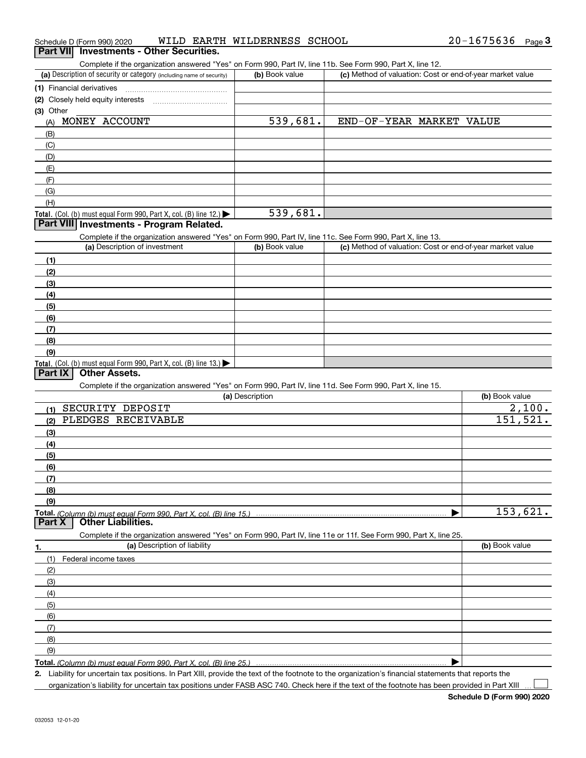|  | Schedule D (Form 990) 2020 |  | WILD EARTH | WILDERNESS SCHOOL |  | 20-1675636 | Page $3$ |  |
|--|----------------------------|--|------------|-------------------|--|------------|----------|--|
|--|----------------------------|--|------------|-------------------|--|------------|----------|--|

#### **Part VII** Investments - Other Securities.

Complete if the organization answered "Yes" on Form 990, Part IV, line 11b. See Form 990, Part X, line 12.

| (a) Description of security or category (including name of security) | (b) Book value | (c) Method of valuation: Cost or end-of-year market value |
|----------------------------------------------------------------------|----------------|-----------------------------------------------------------|
| (1) Financial derivatives                                            |                |                                                           |
| (2) Closely held equity interests                                    |                |                                                           |
| (3) Other                                                            |                |                                                           |
| MONEY ACCOUNT<br>(A)                                                 | 539,681.       | END-OF-YEAR MARKET VALUE                                  |
| (B)                                                                  |                |                                                           |
| (C)                                                                  |                |                                                           |
| (D)                                                                  |                |                                                           |
| (E)                                                                  |                |                                                           |
| (F)                                                                  |                |                                                           |
| (G)                                                                  |                |                                                           |
| (H)                                                                  |                |                                                           |
| Total. (Col. (b) must equal Form 990, Part X, col. (B) line $12$ .)  | 539,681.       |                                                           |

### **Part VIII Investments - Program Related.**

Complete if the organization answered "Yes" on Form 990, Part IV, line 11c. See Form 990, Part X, line 13.

| (a) Description of investment                                                                 | (b) Book value | (c) Method of valuation: Cost or end-of-year market value |
|-----------------------------------------------------------------------------------------------|----------------|-----------------------------------------------------------|
| (1)                                                                                           |                |                                                           |
| (2)                                                                                           |                |                                                           |
| (3)                                                                                           |                |                                                           |
| (4)                                                                                           |                |                                                           |
| $\frac{1}{2}$                                                                                 |                |                                                           |
| (6)                                                                                           |                |                                                           |
| (7)                                                                                           |                |                                                           |
| (8)                                                                                           |                |                                                           |
| (9)                                                                                           |                |                                                           |
| <b>Total.</b> (Col. (b) must equal Form 990, Part X, col. (B) line 13.) $\blacktriangleright$ |                |                                                           |

#### **Part IX Other Assets.**

Complete if the organization answered "Yes" on Form 990, Part IV, line 11d. See Form 990, Part X, line 15.

|                                     | <u>complete in the enganization anomology root on rom eoo, raiting motificial ocen onn eoo, raiting nor </u>      |                |
|-------------------------------------|-------------------------------------------------------------------------------------------------------------------|----------------|
|                                     | (a) Description                                                                                                   | (b) Book value |
| SECURITY DEPOSIT<br>(1)             |                                                                                                                   | 2,100.         |
| (2)                                 | PLEDGES RECEIVABLE                                                                                                | 151, 521.      |
| (3)                                 |                                                                                                                   |                |
| (4)                                 |                                                                                                                   |                |
| (5)                                 |                                                                                                                   |                |
| (6)                                 |                                                                                                                   |                |
| (7)                                 |                                                                                                                   |                |
| (8)                                 |                                                                                                                   |                |
| (9)                                 |                                                                                                                   |                |
|                                     |                                                                                                                   | 153,621.       |
| <b>Other Liabilities.</b><br>Part X |                                                                                                                   |                |
|                                     | Complete if the organization answered "Yes" on Form 990, Part IV, line 11e or 11f. See Form 990, Part X, line 25. |                |
| 1.                                  | (a) Description of liability                                                                                      | (b) Book value |
| Federal income taxes<br>(1)         |                                                                                                                   |                |
| (2)                                 |                                                                                                                   |                |
| (3)                                 |                                                                                                                   |                |
| (4)                                 |                                                                                                                   |                |
| (5)                                 |                                                                                                                   |                |
| (6)                                 |                                                                                                                   |                |
| (7)                                 |                                                                                                                   |                |
| (8)                                 |                                                                                                                   |                |
| (9)                                 |                                                                                                                   |                |

Total. (Column (b) must equal Form 990, Part X, col. (B) line 25.) |

2. Liability for uncertain tax positions. In Part XIII, provide the text of the footnote to the organization's financial statements that reports the

organization's liability for uncertain tax positions under FASB ASC 740. Check here if the text of the footnote has been provided in Part XIII  $\Box$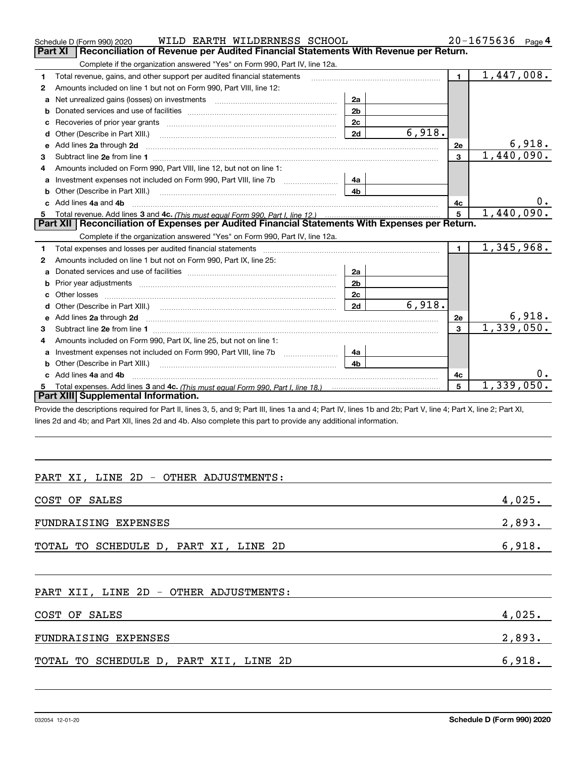|                                                                                                       | WILD EARTH WILDERNESS SCHOOL<br>Schedule D (Form 990) 2020                                                                                                                                                                          |                |            |                         | $20 - 1675636$ Page 4     |  |  |
|-------------------------------------------------------------------------------------------------------|-------------------------------------------------------------------------------------------------------------------------------------------------------------------------------------------------------------------------------------|----------------|------------|-------------------------|---------------------------|--|--|
| <b>Part XI</b><br>Reconciliation of Revenue per Audited Financial Statements With Revenue per Return. |                                                                                                                                                                                                                                     |                |            |                         |                           |  |  |
|                                                                                                       | Complete if the organization answered "Yes" on Form 990, Part IV, line 12a.                                                                                                                                                         |                |            |                         |                           |  |  |
| 1                                                                                                     | Total revenue, gains, and other support per audited financial statements                                                                                                                                                            |                |            | $\blacksquare$          | 1,447,008.                |  |  |
| 2                                                                                                     | Amounts included on line 1 but not on Form 990, Part VIII, line 12:                                                                                                                                                                 |                |            |                         |                           |  |  |
| a                                                                                                     | Net unrealized gains (losses) on investments [11] matter contracts and the unrealized gains (losses) on investments                                                                                                                 | 2a             |            |                         |                           |  |  |
| b                                                                                                     |                                                                                                                                                                                                                                     | 2 <sub>b</sub> |            |                         |                           |  |  |
|                                                                                                       |                                                                                                                                                                                                                                     | 2c             |            |                         |                           |  |  |
| d                                                                                                     | Other (Describe in Part XIII.) <b>Construction Contract Construction</b> Chern Construction Construction Construction                                                                                                               | 2d             | 6,918.     |                         |                           |  |  |
| e                                                                                                     | Add lines 2a through 2d                                                                                                                                                                                                             |                |            | 2e                      | 6,918.                    |  |  |
| 3                                                                                                     |                                                                                                                                                                                                                                     |                |            | 3                       | 1,440,090.                |  |  |
| 4                                                                                                     | Amounts included on Form 990, Part VIII, line 12, but not on line 1:                                                                                                                                                                |                |            |                         |                           |  |  |
| a                                                                                                     |                                                                                                                                                                                                                                     | 4a             |            |                         |                           |  |  |
|                                                                                                       |                                                                                                                                                                                                                                     | 4b             |            |                         |                           |  |  |
|                                                                                                       | Add lines 4a and 4b                                                                                                                                                                                                                 |                |            | 4c                      | 0.                        |  |  |
| 5                                                                                                     |                                                                                                                                                                                                                                     | 5              | 1,440,090. |                         |                           |  |  |
|                                                                                                       | Part XII   Reconciliation of Expenses per Audited Financial Statements With Expenses per Return.                                                                                                                                    |                |            |                         |                           |  |  |
|                                                                                                       | Complete if the organization answered "Yes" on Form 990, Part IV, line 12a.                                                                                                                                                         |                |            |                         |                           |  |  |
| 1                                                                                                     |                                                                                                                                                                                                                                     |                |            | $\mathbf{1}$            | $\overline{1,345}$ , 968. |  |  |
| 2                                                                                                     | Amounts included on line 1 but not on Form 990, Part IX, line 25:                                                                                                                                                                   |                |            |                         |                           |  |  |
|                                                                                                       |                                                                                                                                                                                                                                     | 2a             |            |                         |                           |  |  |
| b                                                                                                     |                                                                                                                                                                                                                                     | 2 <sub>b</sub> |            |                         |                           |  |  |
|                                                                                                       |                                                                                                                                                                                                                                     | 2c             |            |                         |                           |  |  |
|                                                                                                       |                                                                                                                                                                                                                                     | 2d             | 6,918.     |                         |                           |  |  |
| е                                                                                                     | Add lines 2a through 2d <b>must be a constructed as the constant of the constant of the constant of the construction</b>                                                                                                            |                |            | 2e                      | 6,918.                    |  |  |
| 3                                                                                                     |                                                                                                                                                                                                                                     |                |            | $\overline{\mathbf{3}}$ | 1,339,050.                |  |  |
|                                                                                                       | Amounts included on Form 990, Part IX, line 25, but not on line 1:                                                                                                                                                                  |                |            |                         |                           |  |  |
| a                                                                                                     |                                                                                                                                                                                                                                     | 4a             |            |                         |                           |  |  |
| b                                                                                                     | Other (Describe in Part XIII.) <b>Construction Contract Construction</b> Chemical Construction Chemical Chemical Chemical Chemical Chemical Chemical Chemical Chemical Chemical Chemical Chemical Chemical Chemical Chemical Chemic | 4 <sub>b</sub> |            |                         |                           |  |  |
|                                                                                                       | Add lines 4a and 4b                                                                                                                                                                                                                 |                |            | 4c                      |                           |  |  |
| 5.                                                                                                    |                                                                                                                                                                                                                                     |                |            | 5                       | 1,339,050.                |  |  |
|                                                                                                       | Part XIII Supplemental Information.                                                                                                                                                                                                 |                |            |                         |                           |  |  |
|                                                                                                       | Drovide the descriptions required for Dart II, lines 3, 5, and Q: Dart III, lines 1a and 4: Dart IV, lines 1b and 2b: Dart V, line 4: Dart Y, line 2: Dart Y, line 3: Dart YI                                                       |                |            |                         |                           |  |  |

ovide the descriptions required for Part II, lines 3, 5, and 9; Part III, lines 1a and 4; Part IV, lines 1b and 2b; Part V, line 4; Part X, line 2; Part XI, lines 2d and 4b; and Part XII, lines 2d and 4b. Also complete this part to provide any additional information.

# PART XI, LINE 2D - OTHER ADJUSTMENTS:

| COST OF SALES                         | 4,025. |
|---------------------------------------|--------|
| FUNDRAISING EXPENSES                  | 2,893. |
| TOTAL TO SCHEDULE D, PART XI, LINE 2D | 6,918. |

#### PART XII, LINE 2D - OTHER ADJUSTMENTS:

| COST OF SALES                          | 4,025. |
|----------------------------------------|--------|
| FUNDRAISING EXPENSES                   | 2,893. |
| TOTAL TO SCHEDULE D, PART XII, LINE 2D | 6,918. |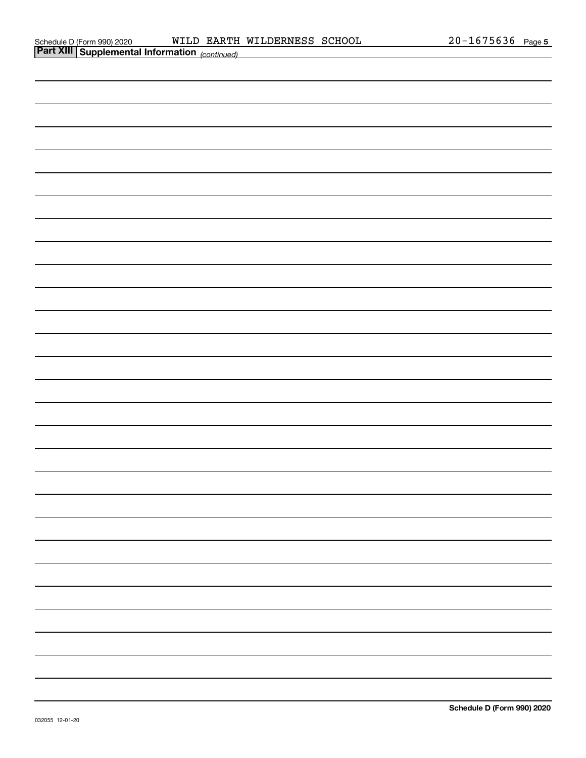| <b>Part XIII Supplemental Information</b> (continued) |  |
|-------------------------------------------------------|--|
|                                                       |  |
|                                                       |  |
|                                                       |  |
|                                                       |  |
|                                                       |  |
|                                                       |  |
|                                                       |  |
|                                                       |  |
|                                                       |  |
|                                                       |  |
|                                                       |  |
|                                                       |  |
|                                                       |  |
|                                                       |  |
|                                                       |  |
|                                                       |  |
|                                                       |  |
|                                                       |  |
|                                                       |  |
|                                                       |  |
|                                                       |  |
|                                                       |  |
|                                                       |  |
|                                                       |  |
|                                                       |  |
|                                                       |  |
|                                                       |  |
|                                                       |  |